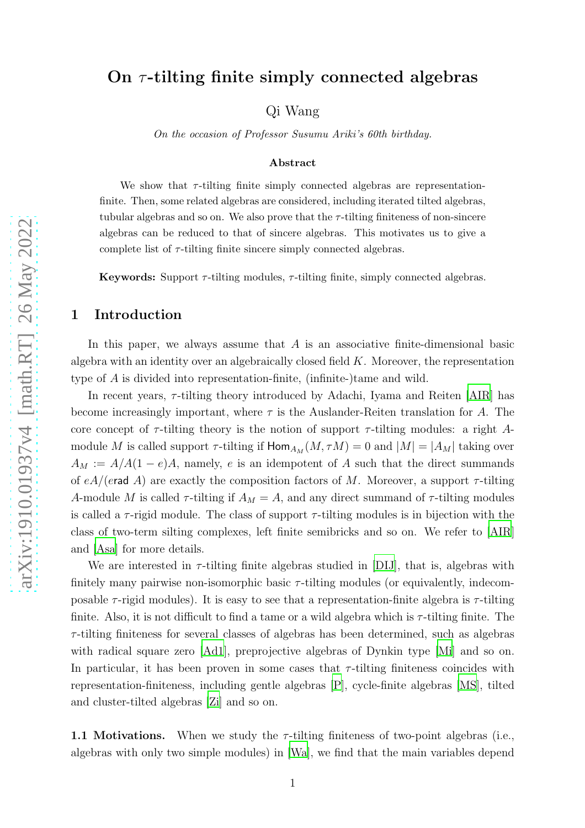# On  $\tau$ -tilting finite simply connected algebras

Qi Wang

On the occasion of Professor Susumu Ariki's 60th birthday.

#### Abstract

We show that  $\tau$ -tilting finite simply connected algebras are representationfinite. Then, some related algebras are considered, including iterated tilted algebras, tubular algebras and so on. We also prove that the  $\tau$ -tilting finiteness of non-sincere algebras can be reduced to that of sincere algebras. This motivates us to give a complete list of  $\tau$ -tilting finite sincere simply connected algebras.

**Keywords:** Support  $\tau$ -tilting modules,  $\tau$ -tilting finite, simply connected algebras.

#### 1 Introduction

In this paper, we always assume that  $A$  is an associative finite-dimensional basic algebra with an identity over an algebraically closed field  $K$ . Moreover, the representation type of A is divided into representation-finite, (infinite-)tame and wild.

In recent years,  $\tau$ -tilting theory introduced by Adachi, Iyama and Reiten [\[AIR\]](#page-27-0) has become increasingly important, where  $\tau$  is the Auslander-Reiten translation for A. The core concept of  $\tau$ -tilting theory is the notion of support  $\tau$ -tilting modules: a right Amodule M is called support  $\tau$ -tilting if  $\text{Hom}_{A_M}(M, \tau M) = 0$  and  $|M| = |A_M|$  taking over  $A_M := A/A(1-e)A$ , namely, e is an idempotent of A such that the direct summands of  $eA/(erad A)$  are exactly the composition factors of M. Moreover, a support  $\tau$ -tilting A-module M is called  $\tau$ -tilting if  $A_M = A$ , and any direct summand of  $\tau$ -tilting modules is called a  $\tau$ -rigid module. The class of support  $\tau$ -tilting modules is in bijection with the class of two-term silting complexes, left finite semibricks and so on. We refer to [\[AIR](#page-27-0)] and [\[Asa](#page-27-1)] for more details.

We are interested in  $\tau$ -tilting finite algebras studied in [\[DIJ\]](#page-28-0), that is, algebras with finitely many pairwise non-isomorphic basic  $\tau$ -tilting modules (or equivalently, indecomposable  $\tau$ -rigid modules). It is easy to see that a representation-finite algebra is  $\tau$ -tilting finite. Also, it is not difficult to find a tame or a wild algebra which is  $\tau$ -tilting finite. The  $\tau$ -tilting finiteness for several classes of algebras has been determined, such as algebras with radical square zero [\[Ad1\]](#page-27-2), preprojective algebras of Dynkin type [\[Mi\]](#page-29-0) and so on. In particular, it has been proven in some cases that  $\tau$ -tilting finiteness coincides with representation-finiteness, including gentle algebras [\[P](#page-29-1)], cycle-finite algebras [\[MS\]](#page-29-2), tilted and cluster-tilted algebras [\[Zi\]](#page-29-3) and so on.

1.1 Motivations. When we study the  $\tau$ -tilting finiteness of two-point algebras (i.e., algebras with only two simple modules) in [\[Wa](#page-29-4)], we find that the main variables depend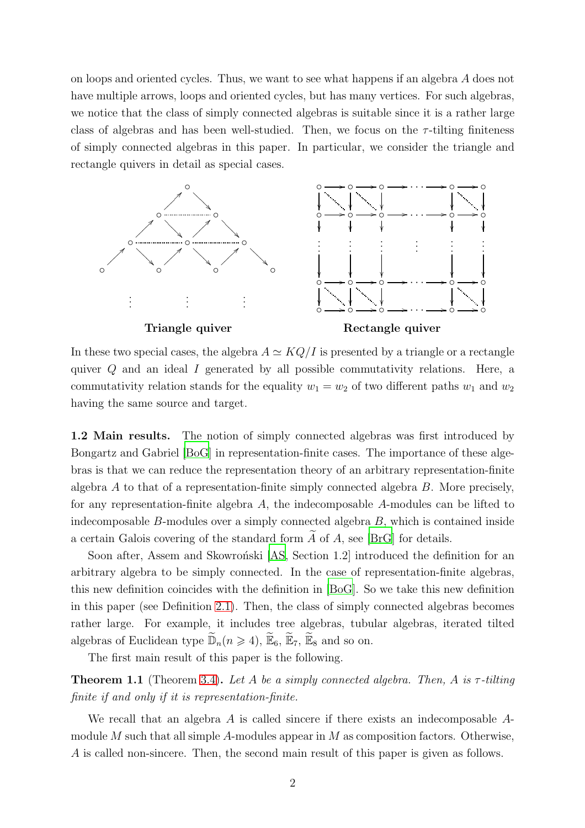on loops and oriented cycles. Thus, we want to see what happens if an algebra A does not have multiple arrows, loops and oriented cycles, but has many vertices. For such algebras, we notice that the class of simply connected algebras is suitable since it is a rather large class of algebras and has been well-studied. Then, we focus on the  $\tau$ -tilting finiteness of simply connected algebras in this paper. In particular, we consider the triangle and rectangle quivers in detail as special cases.



In these two special cases, the algebra  $A \simeq KQ/I$  is presented by a triangle or a rectangle quiver Q and an ideal I generated by all possible commutativity relations. Here, a commutativity relation stands for the equality  $w_1 = w_2$  of two different paths  $w_1$  and  $w_2$ having the same source and target.

1.2 Main results. The notion of simply connected algebras was first introduced by Bongartz and Gabriel [\[BoG](#page-28-1)] in representation-finite cases. The importance of these algebras is that we can reduce the representation theory of an arbitrary representation-finite algebra  $A$  to that of a representation-finite simply connected algebra  $B$ . More precisely, for any representation-finite algebra A, the indecomposable A-modules can be lifted to indecomposable B-modules over a simply connected algebra B, which is contained inside a certain Galois covering of the standard form  $\widetilde{A}$  of A, see [BrG] for details.

Soon after, Assem and Skowronski [\[AS](#page-27-3), Section 1.2] introduced the definition for an arbitrary algebra to be simply connected. In the case of representation-finite algebras, this new definition coincides with the definition in [\[BoG](#page-28-1)]. So we take this new definition in this paper (see Definition [2.1\)](#page-3-0). Then, the class of simply connected algebras becomes rather large. For example, it includes tree algebras, tubular algebras, iterated tilted algebras of Euclidean type  $\widetilde{\mathbb{D}}_n(n \geq 4)$ ,  $\widetilde{\mathbb{E}}_6$ ,  $\widetilde{\mathbb{E}}_7$ ,  $\widetilde{\mathbb{E}}_8$  and so on.

The first main result of this paper is the following.

Theorem 1.1 (Theorem [3.4\)](#page-6-0). *Let* A *be a simply connected algebra. Then,* A *is* τ *-tilting finite if and only if it is representation-finite.*

We recall that an algebra A is called sincere if there exists an indecomposable Amodule M such that all simple A-modules appear in M as composition factors. Otherwise, A is called non-sincere. Then, the second main result of this paper is given as follows.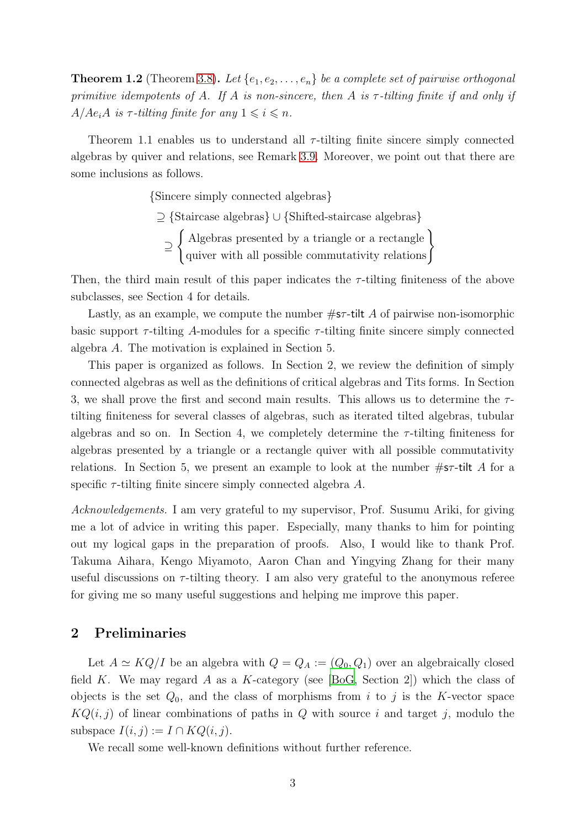**Theorem 1.2** (Theorem [3.8\)](#page-7-0). Let  $\{e_1, e_2, \ldots, e_n\}$  be a complete set of pairwise orthogonal *primitive idempotents of* A*. If* A *is non-sincere, then* A *is* τ *-tilting finite if and only if*  $A/Ae_iA$  *is*  $\tau$ -tilting finite for any  $1 \leq i \leq n$ .

Theorem 1.1 enables us to understand all  $\tau$ -tilting finite sincere simply connected algebras by quiver and relations, see Remark [3.9.](#page-7-1) Moreover, we point out that there are some inclusions as follows.

{Sincere simply connected algebras}

⊇ {Staircase algebras} ∪ {Shifted-staircase algebras}

⊇ ( Algebras presented by a triangle or a rectangle quiver with all possible commutativity relations)

Then, the third main result of this paper indicates the  $\tau$ -tilting finiteness of the above subclasses, see Section 4 for details.

Lastly, as an example, we compute the number  $\#s\tau$ -tilt A of pairwise non-isomorphic basic support  $\tau$ -tilting A-modules for a specific  $\tau$ -tilting finite sincere simply connected algebra A. The motivation is explained in Section 5.

This paper is organized as follows. In Section 2, we review the definition of simply connected algebras as well as the definitions of critical algebras and Tits forms. In Section 3, we shall prove the first and second main results. This allows us to determine the  $\tau$ tilting finiteness for several classes of algebras, such as iterated tilted algebras, tubular algebras and so on. In Section 4, we completely determine the  $\tau$ -tilting finiteness for algebras presented by a triangle or a rectangle quiver with all possible commutativity relations. In Section 5, we present an example to look at the number  $\#s\tau$ -tilt A for a specific  $\tau$ -tilting finite sincere simply connected algebra A.

*Acknowledgements.* I am very grateful to my supervisor, Prof. Susumu Ariki, for giving me a lot of advice in writing this paper. Especially, many thanks to him for pointing out my logical gaps in the preparation of proofs. Also, I would like to thank Prof. Takuma Aihara, Kengo Miyamoto, Aaron Chan and Yingying Zhang for their many useful discussions on  $\tau$ -tilting theory. I am also very grateful to the anonymous referee for giving me so many useful suggestions and helping me improve this paper.

### 2 Preliminaries

Let  $A \simeq KQ/I$  be an algebra with  $Q = Q_A := (Q_0, Q_1)$  over an algebraically closed field K. We may regard A as a K-category (see [\[BoG](#page-28-1), Section 2]) which the class of objects is the set  $Q_0$ , and the class of morphisms from i to j is the K-vector space  $KQ(i, j)$  of linear combinations of paths in Q with source i and target j, modulo the subspace  $I(i, j) := I \cap KQ(i, j)$ .

We recall some well-known definitions without further reference.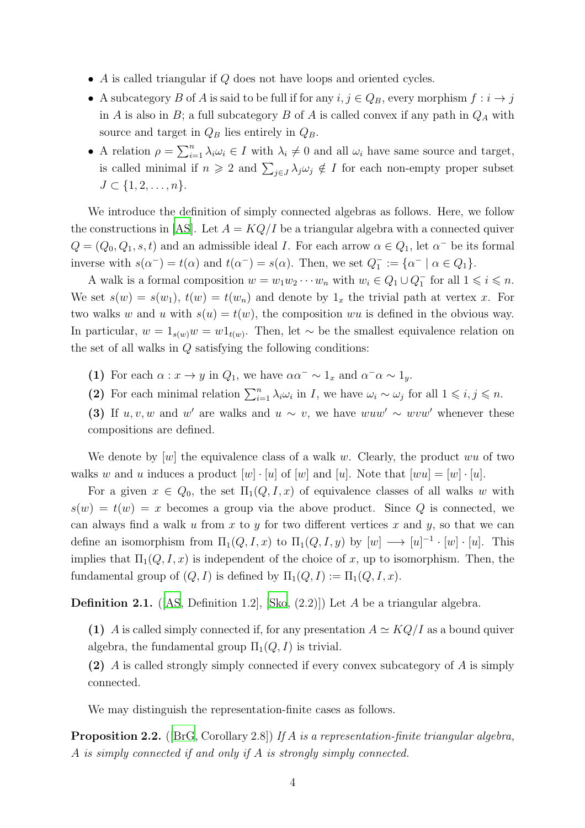- A is called triangular if  $Q$  does not have loops and oriented cycles.
- A subcategory  $B$  of  $A$  is said to be full if for any  $i, j \in Q_B$ , every morphism  $f : i \to j$ in A is also in B; a full subcategory B of A is called convex if any path in  $Q_A$  with source and target in  $Q_B$  lies entirely in  $Q_B$ .
- A relation  $\rho = \sum_{i=1}^n \lambda_i \omega_i \in I$  with  $\lambda_i \neq 0$  and all  $\omega_i$  have same source and target, is called minimal if  $n \geq 2$  and  $\sum_{j\in J} \lambda_j \omega_j \notin I$  for each non-empty proper subset  $J \subset \{1, 2, \ldots, n\}.$

We introduce the definition of simply connected algebras as follows. Here, we follow the constructions in [\[AS\]](#page-27-3). Let  $A = KQ/I$  be a triangular algebra with a connected quiver  $Q = (Q_0, Q_1, s, t)$  and an admissible ideal *I*. For each arrow  $\alpha \in Q_1$ , let  $\alpha^-$  be its formal inverse with  $s(\alpha^-) = t(\alpha)$  and  $t(\alpha^-) = s(\alpha)$ . Then, we set  $Q_1^- := {\alpha^- | \alpha \in Q_1}.$ 

A walk is a formal composition  $w = w_1 w_2 \cdots w_n$  with  $w_i \in Q_1 \cup Q_1^-$  for all  $1 \leq i \leq n$ . We set  $s(w) = s(w_1)$ ,  $t(w) = t(w_n)$  and denote by  $1_x$  the trivial path at vertex x. For two walks w and u with  $s(u) = t(w)$ , the composition wu is defined in the obvious way. In particular,  $w = 1_{s(w)}w = w1_{t(w)}$ . Then, let ∼ be the smallest equivalence relation on the set of all walks in Q satisfying the following conditions:

- (1) For each  $\alpha: x \to y$  in  $Q_1$ , we have  $\alpha \alpha^- \sim 1_x$  and  $\alpha^- \alpha \sim 1_y$ .
- (2) For each minimal relation  $\sum_{i=1}^n \lambda_i \omega_i$  in *I*, we have  $\omega_i \sim \omega_j$  for all  $1 \leq i, j \leq n$ .
- (3) If  $u, v, w$  and w' are walks and  $u \sim v$ , we have  $wuw' \sim wvw'$  whenever these compositions are defined.

We denote by  $[w]$  the equivalence class of a walk w. Clearly, the product wu of two walks w and u induces a product  $[w] \cdot [u]$  of  $[w]$  and  $[u]$ . Note that  $[wu] = [w] \cdot [u]$ .

For a given  $x \in Q_0$ , the set  $\Pi_1(Q, I, x)$  of equivalence classes of all walks w with  $s(w) = t(w) = x$  becomes a group via the above product. Since Q is connected, we can always find a walk u from x to y for two different vertices x and y, so that we can define an isomorphism from  $\Pi_1(Q, I, x)$  to  $\Pi_1(Q, I, y)$  by  $[w] \longrightarrow [u]^{-1} \cdot [w] \cdot [u]$ . This implies that  $\Pi_1(Q, I, x)$  is independent of the choice of x, up to isomorphism. Then, the fundamental group of  $(Q, I)$  is defined by  $\Pi_1(Q, I) := \Pi_1(Q, I, x)$ .

<span id="page-3-0"></span>**Definition 2.1.** ( $[AS, Definition 1.2]$  $[AS, Definition 1.2]$ ,  $[Sko, (2.2)]$ ) Let A be a triangular algebra.

(1) A is called simply connected if, for any presentation  $A \simeq KQ/I$  as a bound quiver algebra, the fundamental group  $\Pi_1(Q, I)$  is trivial.

(2) A is called strongly simply connected if every convex subcategory of A is simply connected.

We may distinguish the representation-finite cases as follows.

<span id="page-3-1"></span>Proposition 2.2. ([BrG, Corollary 2.8]) *If* A *is a representation-finite triangular algebra,* A *is simply connected if and only if* A *is strongly simply connected.*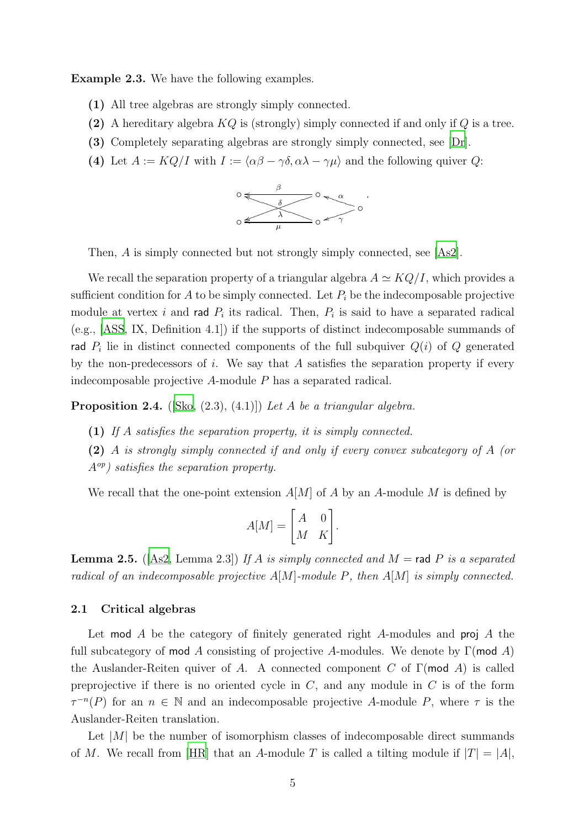Example 2.3. We have the following examples.

- (1) All tree algebras are strongly simply connected.
- (2) A hereditary algebra  $KQ$  is (strongly) simply connected if and only if  $Q$  is a tree.
- (3) Completely separating algebras are strongly simply connected, see [\[Dr\]](#page-28-2).
- (4) Let  $A := KQ/I$  with  $I := \langle \alpha \beta \gamma \delta, \alpha \lambda \gamma \mu \rangle$  and the following quiver Q:



Then, A is simply connected but not strongly simply connected, see [\[As2](#page-27-4)].

We recall the separation property of a triangular algebra  $A \simeq KQ/I$ , which provides a sufficient condition for A to be simply connected. Let  $P_i$  be the indecomposable projective module at vertex i and rad  $P_i$  its radical. Then,  $P_i$  is said to have a separated radical (e.g., [\[ASS](#page-28-3), IX, Definition 4.1]) if the supports of distinct indecomposable summands of rad  $P_i$  lie in distinct connected components of the full subquiver  $Q(i)$  of  $Q$  generated by the non-predecessors of i. We say that A satisfies the separation property if every indecomposable projective A-module P has a separated radical.

<span id="page-4-1"></span>Proposition 2.4. ([\[Sko](#page-29-5), (2.3), (4.1)]) *Let* A *be a triangular algebra.*

- (1) *If* A *satisfies the separation property, it is simply connected.*
- (2) A *is strongly simply connected if and only if every convex subcategory of* A *(or* Aop*) satisfies the separation property.*

We recall that the one-point extension  $A[M]$  of A by an A-module M is defined by

$$
A[M] = \begin{bmatrix} A & 0 \\ M & K \end{bmatrix}.
$$

<span id="page-4-0"></span>**Lemma 2.5.** ([\[As2,](#page-27-4) Lemma 2.3]) If A is simply connected and  $M =$  rad P is a separated *radical of an indecomposable projective* A[M]*-module* P*, then* A[M] *is simply connected.*

#### 2.1 Critical algebras

Let mod A be the category of finitely generated right A-modules and proj A the full subcategory of mod A consisting of projective A-modules. We denote by  $\Gamma$ (mod A) the Auslander-Reiten quiver of A. A connected component C of  $\Gamma$ (mod A) is called preprojective if there is no oriented cycle in  $C$ , and any module in  $C$  is of the form  $\tau^{-n}(P)$  for an  $n \in \mathbb{N}$  and an indecomposable projective A-module P, where  $\tau$  is the Auslander-Reiten translation.

Let  $|M|$  be the number of isomorphism classes of indecomposable direct summands of M. We recall from [\[HR\]](#page-28-4) that an A-module T is called a tilting module if  $|T| = |A|$ ,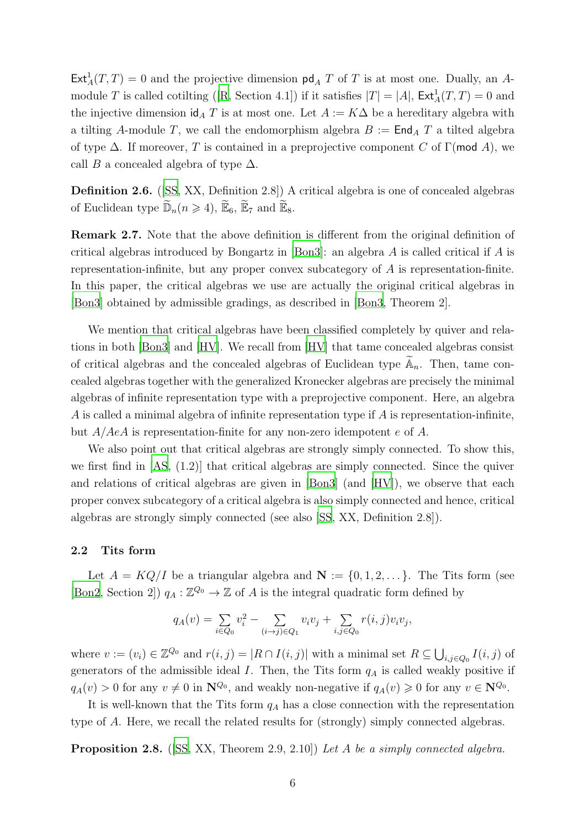$\text{Ext}^1_A(T,T) = 0$  and the projective dimension  $\text{pd}_A T$  of T is at most one. Dually, an A-moduleT is called cotilting ([\[R](#page-29-6), Section 4.1]) if it satisfies  $|T| = |A|$ ,  $\text{Ext}^1_A(T,T) = 0$  and the injective dimension  $\mathrm{id}_A T$  is at most one. Let  $A := K\Delta$  be a hereditary algebra with a tilting A-module T, we call the endomorphism algebra  $B := \text{End}_A T$  a tilted algebra of type  $\Delta$ . If moreover, T is contained in a preprojective component C of Γ(mod A), we call B a concealed algebra of type  $\Delta$ .

Definition 2.6. ([SS, XX, Definition 2.8]) A critical algebra is one of concealed algebras of Euclidean type  $\widetilde{\mathbb{D}}_n(n \geq 4)$ ,  $\widetilde{\mathbb{E}}_6$ ,  $\widetilde{\mathbb{E}}_7$  and  $\widetilde{\mathbb{E}}_8$ .

<span id="page-5-1"></span>Remark 2.7. Note that the above definition is different from the original definition of critical algebras introduced by Bongartz in [\[Bon3\]](#page-28-5): an algebra A is called critical if A is representation-infinite, but any proper convex subcategory of  $A$  is representation-finite. In this paper, the critical algebras we use are actually the original critical algebras in [\[Bon3\]](#page-28-5) obtained by admissible gradings, as described in [\[Bon3,](#page-28-5) Theorem 2].

We mention that critical algebras have been classified completely by quiver and relations in both [\[Bon3\]](#page-28-5) and [\[HV](#page-28-6)]. We recall from [\[HV\]](#page-28-6) that tame concealed algebras consist of critical algebras and the concealed algebras of Euclidean type  $\widetilde{A}_n$ . Then, tame concealed algebras together with the generalized Kronecker algebras are precisely the minimal algebras of infinite representation type with a preprojective component. Here, an algebra A is called a minimal algebra of infinite representation type if  $A$  is representation-infinite, but  $A/AeA$  is representation-finite for any non-zero idempotent e of A.

We also point out that critical algebras are strongly simply connected. To show this, we first find in  $[AS, (1.2)]$  that critical algebras are simply connected. Since the quiver and relations of critical algebras are given in [\[Bon3\]](#page-28-5) (and [\[HV\]](#page-28-6)), we observe that each proper convex subcategory of a critical algebra is also simply connected and hence, critical algebras are strongly simply connected (see also [SS, XX, Definition 2.8]).

#### 2.2 Tits form

Let  $A = KQ/I$  be a triangular algebra and  $\mathbf{N} := \{0, 1, 2, \dots\}$ . The Tits form (see [\[Bon2,](#page-28-7) Section 2])  $q_A : \mathbb{Z}^{Q_0} \to \mathbb{Z}$  of A is the integral quadratic form defined by

$$
q_A(v) = \sum_{i \in Q_0} v_i^2 - \sum_{(i \to j) \in Q_1} v_i v_j + \sum_{i,j \in Q_0} r(i,j) v_i v_j,
$$

where  $v := (v_i) \in \mathbb{Z}^{Q_0}$  and  $r(i, j) = |R \cap I(i, j)|$  with a minimal set  $R \subseteq \bigcup_{i, j \in Q_0} I(i, j)$  of generators of the admissible ideal  $I$ . Then, the Tits form  $q_A$  is called weakly positive if  $q_A(v) > 0$  for any  $v \neq 0$  in  $\mathbb{N}^{Q_0}$ , and weakly non-negative if  $q_A(v) \geq 0$  for any  $v \in \mathbb{N}^{Q_0}$ .

It is well-known that the Tits form  $q_A$  has a close connection with the representation type of A. Here, we recall the related results for (strongly) simply connected algebras.

<span id="page-5-0"></span>Proposition 2.8. ([SS, XX, Theorem 2.9, 2.10]) *Let* A *be a simply connected algebra.*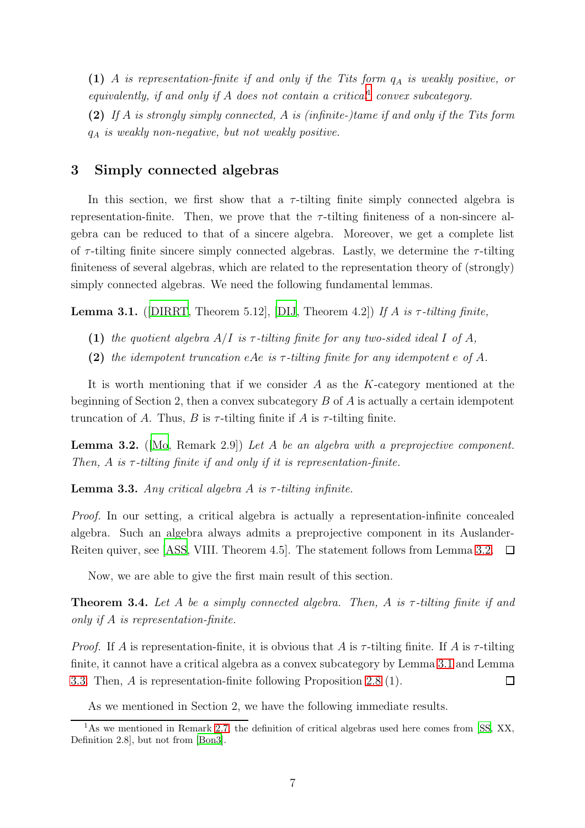(1) A *is representation-finite if and only if the Tits form* q<sup>A</sup> *is weakly positive, or equivalently, if and only if* A *does not contain a critical*[1](#page-6-1) *convex subcategory.*

(2) *If* A *is strongly simply connected,* A *is (infinite-)tame if and only if the Tits form* q<sup>A</sup> *is weakly non-negative, but not weakly positive.*

## 3 Simply connected algebras

In this section, we first show that a  $\tau$ -tilting finite simply connected algebra is representation-finite. Then, we prove that the  $\tau$ -tilting finiteness of a non-sincere algebra can be reduced to that of a sincere algebra. Moreover, we get a complete list of  $\tau$ -tilting finite sincere simply connected algebras. Lastly, we determine the  $\tau$ -tilting finiteness of several algebras, which are related to the representation theory of (strongly) simply connected algebras. We need the following fundamental lemmas.

<span id="page-6-3"></span>**Lemma 3.1.** ([\[DIRRT](#page-28-8), Theorem 5.12], [\[DIJ](#page-28-0), Theorem 4.2]) If A is  $\tau$ -tilting finite,

- (1) the quotient algebra  $A/I$  is  $\tau$ -tilting finite for any two-sided ideal I of A,
- (2) the idempotent truncation eAe is  $\tau$ -tilting finite for any idempotent e of A.

It is worth mentioning that if we consider A as the K-category mentioned at the beginning of Section 2, then a convex subcategory B of A is actually a certain idempotent truncation of A. Thus, B is  $\tau$ -tilting finite if A is  $\tau$ -tilting finite.

<span id="page-6-2"></span>Lemma 3.2. ([Mo, Remark 2.9]) *Let* A *be an algebra with a preprojective component. Then, A is*  $τ$ -*tilting finite if and only if it is representation-finite.* 

<span id="page-6-4"></span>**Lemma 3.3.** *Any critical algebra A is*  $\tau$ -tilting infinite.

*Proof.* In our setting, a critical algebra is actually a representation-infinite concealed algebra. Such an algebra always admits a preprojective component in its Auslander-Reiten quiver, see [\[ASS](#page-28-3), VIII. Theorem 4.5]. The statement follows from Lemma [3.2.](#page-6-2)  $\Box$ 

Now, we are able to give the first main result of this section.

<span id="page-6-0"></span>Theorem 3.4. *Let* A *be a simply connected algebra. Then,* A *is* τ *-tilting finite if and only if* A *is representation-finite.*

*Proof.* If A is representation-finite, it is obvious that A is  $\tau$ -tilting finite. If A is  $\tau$ -tilting finite, it cannot have a critical algebra as a convex subcategory by Lemma [3.1](#page-6-3) and Lemma [3.3.](#page-6-4) Then, A is representation-finite following Proposition [2.8](#page-5-0) (1).  $\Box$ 

As we mentioned in Section 2, we have the following immediate results.

<span id="page-6-1"></span><sup>&</sup>lt;sup>1</sup>As we mentioned in Remark [2.7,](#page-5-1) the definition of critical algebras used here comes from [SS, XX, Definition 2.8], but not from [\[Bon3\]](#page-28-5).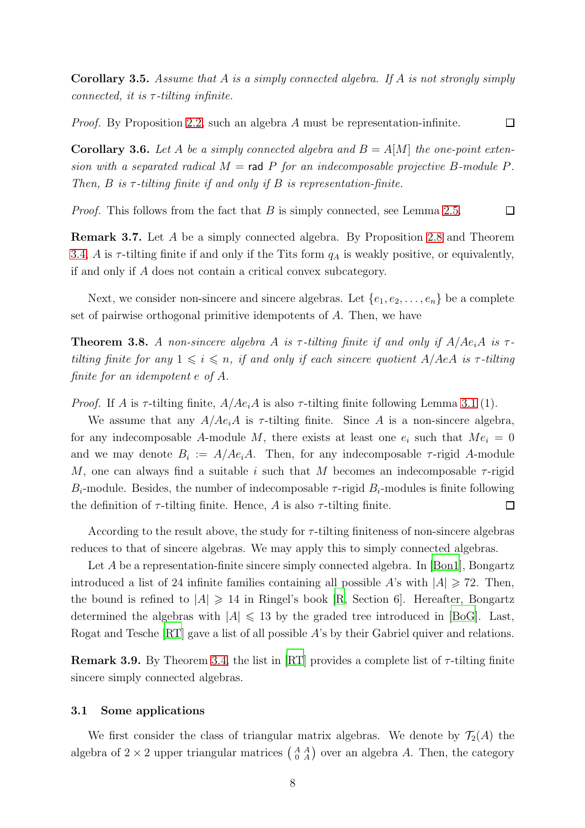Corollary 3.5. *Assume that* A *is a simply connected algebra. If* A *is not strongly simply connected, it is* τ *-tilting infinite.*

 $\Box$ *Proof.* By Proposition [2.2,](#page-3-1) such an algebra A must be representation-infinite.

**Corollary 3.6.** Let A be a simply connected algebra and  $B = A[M]$  the one-point exten*sion with a separated radical*  $M = \text{rad } P$  *for an indecomposable projective* B-module P. *Then,*  $B$  *is*  $\tau$ -tilting finite if and only if  $B$  *is representation-finite.* 

*Proof.* This follows from the fact that B is simply connected, see Lemma [2.5.](#page-4-0)  $\Box$ 

Remark 3.7. Let A be a simply connected algebra. By Proposition [2.8](#page-5-0) and Theorem [3.4,](#page-6-0) A is  $\tau$ -tilting finite if and only if the Tits form  $q_A$  is weakly positive, or equivalently, if and only if A does not contain a critical convex subcategory.

Next, we consider non-sincere and sincere algebras. Let  $\{e_1, e_2, \ldots, e_n\}$  be a complete set of pairwise orthogonal primitive idempotents of A. Then, we have

<span id="page-7-0"></span>**Theorem 3.8.** A non-sincere algebra A is  $\tau$ -tilting finite if and only if  $A/Ae_iA$  is  $\tau$ *tilting finite for any*  $1 \leq i \leq n$ , *if and only if each sincere quotient* A/AeA *is*  $\tau$ -tilting *finite for an idempotent* e *of* A*.*

*Proof.* If A is  $\tau$ -tilting finite,  $A/Ae_iA$  is also  $\tau$ -tilting finite following Lemma [3.1](#page-6-3) (1).

We assume that any  $A/Ae_iA$  is  $\tau$ -tilting finite. Since A is a non-sincere algebra, for any indecomposable A-module M, there exists at least one  $e_i$  such that  $Me_i = 0$ and we may denote  $B_i := A/Me_iA$ . Then, for any indecomposable  $\tau$ -rigid A-module M, one can always find a suitable i such that M becomes an indecomposable  $\tau$ -rigid  $B_i$ -module. Besides, the number of indecomposable  $\tau$ -rigid  $B_i$ -modules is finite following the definition of  $\tau$ -tilting finite. Hence, A is also  $\tau$ -tilting finite.  $\Box$ 

According to the result above, the study for  $\tau$ -tilting finiteness of non-sincere algebras reduces to that of sincere algebras. We may apply this to simply connected algebras.

Let A be a representation-finite sincere simply connected algebra. In [\[Bon1\]](#page-28-9), Bongartz introduced a list of 24 infinite families containing all possible A's with  $|A| \ge 72$ . Then, the bound is refined to  $|A| \geq 14$  in Ringel's book [\[R](#page-29-6), Section 6]. Hereafter, Bongartz determined the algebras with  $|A| \le 13$  by the graded tree introduced in [\[BoG](#page-28-1)]. Last, Rogat and Tesche [\[RT](#page-29-7)] gave a list of all possible A's by their Gabriel quiver and relations.

<span id="page-7-1"></span>Remark 3.9. By Theorem [3.4,](#page-6-0) the list in  $\left[\text{RT}\right]$  provides a complete list of  $\tau$ -tilting finite sincere simply connected algebras.

#### 3.1 Some applications

We first consider the class of triangular matrix algebras. We denote by  $\mathcal{T}_2(A)$  the algebra of  $2 \times 2$  upper triangular matrices  $\begin{pmatrix} A & A \\ 0 & A \end{pmatrix}$  over an algebra A. Then, the category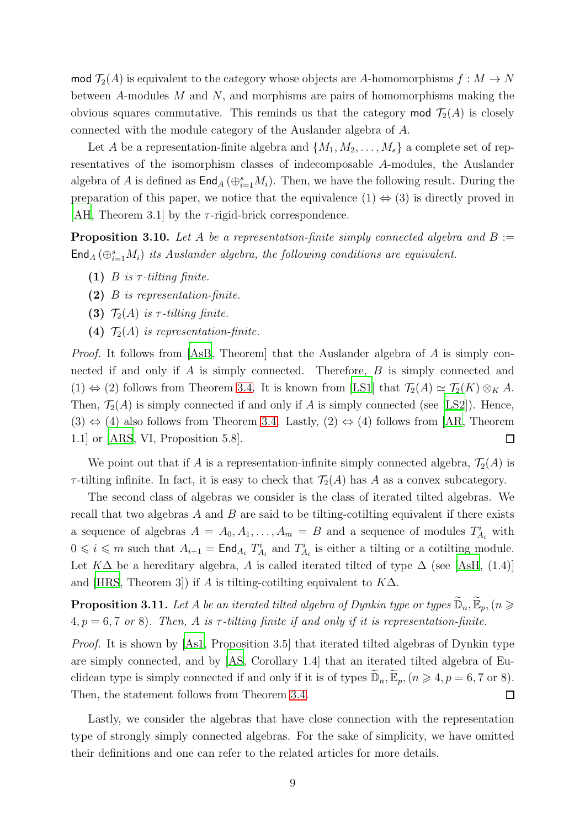mod  $\mathcal{T}_2(A)$  is equivalent to the category whose objects are A-homomorphisms  $f : M \to N$ between A-modules M and N, and morphisms are pairs of homomorphisms making the obvious squares commutative. This reminds us that the category mod  $\mathcal{T}_2(A)$  is closely connected with the module category of the Auslander algebra of A.

Let A be a representation-finite algebra and  $\{M_1, M_2, \ldots, M_s\}$  a complete set of representatives of the isomorphism classes of indecomposable A-modules, the Auslander algebra of A is defined as  $\mathsf{End}_A(\bigoplus_{i=1}^s M_i)$ . Then, we have the following result. During the preparation of this paper, we notice that the equivalence  $(1) \Leftrightarrow (3)$  is directly proved in [\[AH,](#page-27-5) Theorem 3.1] by the  $\tau$ -rigid-brick correspondence.

<span id="page-8-0"></span>**Proposition 3.10.** Let A be a representation-finite simply connected algebra and  $B :=$  $\mathsf{End}_A\left(\oplus_{i=1}^s M_i\right)$  *its Auslander algebra, the following conditions are equivalent.* 

- (1)  $B$  *is*  $\tau$ -tilting finite.
- (2) B *is representation-finite.*
- (3)  $\mathcal{T}_2(A)$  *is*  $\tau$ -tilting finite.
- (4)  $\mathcal{T}_2(A)$  *is representation-finite.*

*Proof.* It follows from [\[AsB](#page-27-6), Theorem] that the Auslander algebra of A is simply connected if and only if A is simply connected. Therefore, B is simply connected and  $(1) \Leftrightarrow (2)$  follows from Theorem [3.4.](#page-6-0) It is known from [\[LS1](#page-28-10)] that  $\mathcal{T}_2(A) \simeq \mathcal{T}_2(K) \otimes_K A$ . Then,  $\mathcal{T}_2(A)$  is simply connected if and only if A is simply connected (see [\[LS2\]](#page-28-11)). Hence,  $(3) \Leftrightarrow (4)$  also follows from Theorem [3.4.](#page-6-0) Lastly,  $(2) \Leftrightarrow (4)$  follows from [\[AR](#page-27-7), Theorem 1.1] or [\[ARS](#page-27-8), VI, Proposition 5.8].  $\Box$ 

We point out that if A is a representation-infinite simply connected algebra,  $\mathcal{T}_2(A)$  is  $\tau$ -tilting infinite. In fact, it is easy to check that  $\mathcal{T}_2(A)$  has A as a convex subcategory.

The second class of algebras we consider is the class of iterated tilted algebras. We recall that two algebras  $A$  and  $B$  are said to be tilting-cotilting equivalent if there exists a sequence of algebras  $A = A_0, A_1, \ldots, A_m = B$  and a sequence of modules  $T_{A_i}^i$  with  $0 \leq i \leq m$  such that  $A_{i+1} = \text{End}_{A_i} T_{A_i}^i$  and  $T_{A_i}^i$  is either a tilting or a cotilting module. Let  $K\Delta$  be a hereditary algebra, A is called iterated tilted of type  $\Delta$  (see [\[AsH](#page-27-9), (1.4)] and [\[HRS,](#page-28-12) Theorem 3]) if A is tilting-cotilting equivalent to  $K\Delta$ .

**Proposition 3.11.** Let A be an iterated tilted algebra of Dynkin type or types  $\widetilde{\mathbb{D}}_n, \widetilde{\mathbb{E}}_p, (n \geq 0)$  $4, p = 6, 7 \text{ or } 8$ ). Then, A is  $\tau$ -tilting finite if and only if it is representation-finite.

*Proof.* It is shown by [\[As1](#page-27-10), Proposition 3.5] that iterated tilted algebras of Dynkin type are simply connected, and by [\[AS,](#page-27-3) Corollary 1.4] that an iterated tilted algebra of Euclidean type is simply connected if and only if it is of types  $\widetilde{\mathbb{D}}_n$ ,  $\widetilde{\mathbb{E}}_p$ ,  $(n \geq 4, p = 6, 7 \text{ or } 8)$ . Then, the statement follows from Theorem [3.4.](#page-6-0)  $\Box$ 

Lastly, we consider the algebras that have close connection with the representation type of strongly simply connected algebras. For the sake of simplicity, we have omitted their definitions and one can refer to the related articles for more details.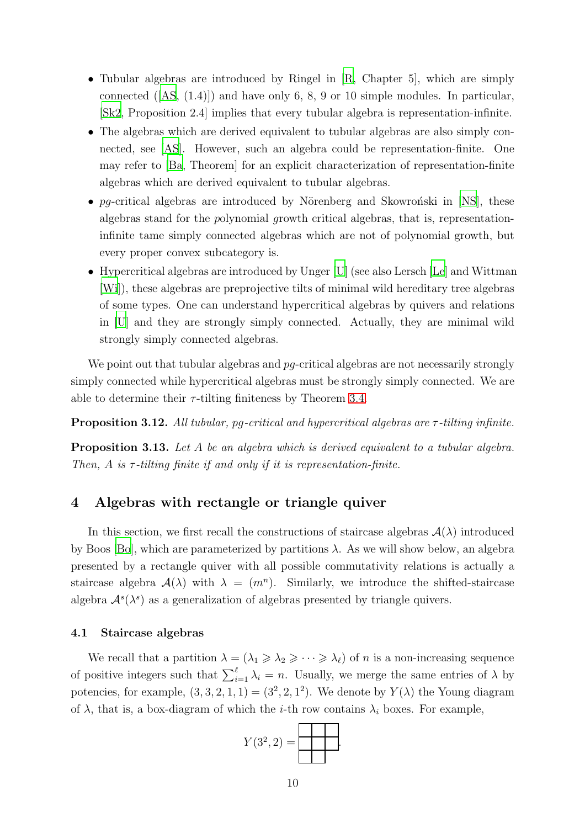- Tubular algebras are introduced by Ringel in [\[R](#page-29-6), Chapter 5], which are simply connected([\[AS](#page-27-3), (1.4)]) and have only 6, 8, 9 or 10 simple modules. In particular, [\[Sk2](#page-29-8), Proposition 2.4] implies that every tubular algebra is representation-infinite.
- The algebras which are derived equivalent to tubular algebras are also simply connected, see [\[AS](#page-27-3)]. However, such an algebra could be representation-finite. One may refer to [\[Ba,](#page-28-13) Theorem] for an explicit characterization of representation-finite algebras which are derived equivalent to tubular algebras.
- pg-critical algebras are introduced by Nörenberg and Skowronski in [\[NS\]](#page-29-9), these algebras stand for the polynomial growth critical algebras, that is, representationinfinite tame simply connected algebras which are not of polynomial growth, but every proper convex subcategory is.
- Hypercritical algebras are introduced by Unger [\[U\]](#page-29-10) (see also Lersch [\[Le](#page-28-14)] and Wittman [\[Wi\]](#page-29-11)), these algebras are preprojective tilts of minimal wild hereditary tree algebras of some types. One can understand hypercritical algebras by quivers and relations in [\[U](#page-29-10)] and they are strongly simply connected. Actually, they are minimal wild strongly simply connected algebras.

We point out that tubular algebras and  $pq$ -critical algebras are not necessarily strongly simply connected while hypercritical algebras must be strongly simply connected. We are able to determine their  $\tau$ -tilting finiteness by Theorem [3.4.](#page-6-0)

Proposition 3.12. *All tubular,* pg*-critical and hypercritical algebras are* τ *-tilting infinite.*

Proposition 3.13. *Let* A *be an algebra which is derived equivalent to a tubular algebra. Then, A is*  $τ$ -*tilting finite if and only if it is representation-finite.* 

### 4 Algebras with rectangle or triangle quiver

In this section, we first recall the constructions of staircase algebras  $\mathcal{A}(\lambda)$  introduced by Boos [\[Bo\]](#page-28-15), which are parameterized by partitions  $\lambda$ . As we will show below, an algebra presented by a rectangle quiver with all possible commutativity relations is actually a staircase algebra  $\mathcal{A}(\lambda)$  with  $\lambda = (m^n)$ . Similarly, we introduce the shifted-staircase algebra  $\mathcal{A}^s(\lambda^s)$  as a generalization of algebras presented by triangle quivers.

#### 4.1 Staircase algebras

We recall that a partition  $\lambda = (\lambda_1 \geq \lambda_2 \geq \cdots \geq \lambda_\ell)$  of *n* is a non-increasing sequence of positive integers such that  $\sum_{i=1}^{\ell} \lambda_i = n$ . Usually, we merge the same entries of  $\lambda$  by potencies, for example,  $(3,3,2,1,1) = (3^2,2,1^2)$ . We denote by  $Y(\lambda)$  the Young diagram of  $\lambda$ , that is, a box-diagram of which the *i*-th row contains  $\lambda_i$  boxes. For example,

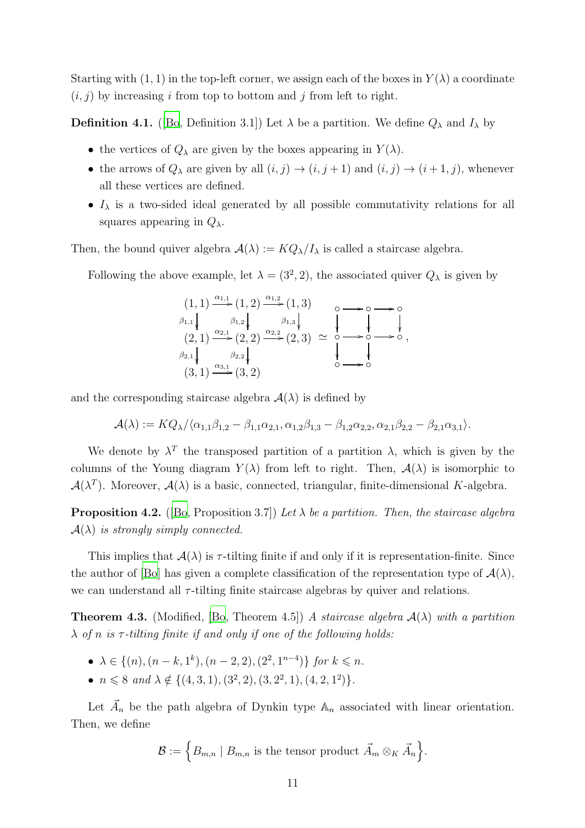Starting with  $(1, 1)$  in the top-left corner, we assign each of the boxes in  $Y(\lambda)$  a coordinate  $(i, j)$  by increasing i from top to bottom and j from left to right.

**Definition 4.1.** ([\[Bo,](#page-28-15) Definition 3.1]) Let  $\lambda$  be a partition. We define  $Q_{\lambda}$  and  $I_{\lambda}$  by

- the vertices of  $Q_{\lambda}$  are given by the boxes appearing in  $Y(\lambda)$ .
- the arrows of  $Q_{\lambda}$  are given by all  $(i, j) \rightarrow (i, j + 1)$  and  $(i, j) \rightarrow (i + 1, j)$ , whenever all these vertices are defined.
- $I_{\lambda}$  is a two-sided ideal generated by all possible commutativity relations for all squares appearing in  $Q_{\lambda}$ .

Then, the bound quiver algebra  $A(\lambda) := KQ_{\lambda}/I_{\lambda}$  is called a staircase algebra.

Following the above example, let  $\lambda = (3^2, 2)$ , the associated quiver  $Q_{\lambda}$  is given by

| $(1,1) \xrightarrow{\alpha_{1,1}} (1,2) \xrightarrow{\alpha_{1,2}} (1,3)$                                                                                                                                    |  |
|--------------------------------------------------------------------------------------------------------------------------------------------------------------------------------------------------------------|--|
| $\begin{array}{c}\n\beta_{1,1} \\ \downarrow \qquad \qquad \beta_{1,2} \\ (2,1) \xrightarrow{\alpha_{2,1}} (2,2) \xrightarrow{\alpha_{2,2}} (2,3) \simeq 0 \longrightarrow 0 \longrightarrow 0\n\end{array}$ |  |
|                                                                                                                                                                                                              |  |
| $\begin{array}{c} \beta_{2,1} \\ (3,1) \xrightarrow{\alpha_{3,1}} (3,2) \end{array}$                                                                                                                         |  |
|                                                                                                                                                                                                              |  |

and the corresponding staircase algebra  $\mathcal{A}(\lambda)$  is defined by

$$
\mathcal{A}(\lambda) := KQ_{\lambda}/\langle \alpha_{1,1}\beta_{1,2} - \beta_{1,1}\alpha_{2,1}, \alpha_{1,2}\beta_{1,3} - \beta_{1,2}\alpha_{2,2}, \alpha_{2,1}\beta_{2,2} - \beta_{2,1}\alpha_{3,1} \rangle.
$$

We denote by  $\lambda^T$  the transposed partition of a partition  $\lambda$ , which is given by the columns of the Young diagram  $Y(\lambda)$  from left to right. Then,  $\mathcal{A}(\lambda)$  is isomorphic to  $\mathcal{A}(\lambda^T)$ . Moreover,  $\mathcal{A}(\lambda)$  is a basic, connected, triangular, finite-dimensional K-algebra.

**Proposition 4.2.** ([\[Bo,](#page-28-15) Proposition 3.7]) Let  $\lambda$  be a partition. Then, the staircase algebra  $\mathcal{A}(\lambda)$  *is strongly simply connected.* 

This implies that  $\mathcal{A}(\lambda)$  is  $\tau$ -tilting finite if and only if it is representation-finite. Since the author of [\[Bo](#page-28-15)] has given a complete classification of the representation type of  $\mathcal{A}(\lambda)$ , we can understand all  $\tau$ -tilting finite staircase algebras by quiver and relations.

<span id="page-10-0"></span>Theorem 4.3. (Modified, [\[Bo](#page-28-15), Theorem 4.5]) *A staircase algebra* A(λ) *with a partition* λ *of* n *is* τ *-tilting finite if and only if one of the following holds:*

- $\lambda \in \{(n), (n-k, 1^k), (n-2, 2), (2^2, 1^{n-4})\}$  for  $k \leq n$ .
- $n \leq 8$  *and*  $\lambda \notin \{(4, 3, 1), (3^2, 2), (3, 2^2, 1), (4, 2, 1^2)\}.$

Let  $\vec{A}_n$  be the path algebra of Dynkin type  $\mathbb{A}_n$  associated with linear orientation. Then, we define

$$
\mathcal{B} := \Big\{ B_{m,n} \mid B_{m,n} \text{ is the tensor product } \vec{A}_m \otimes_K \vec{A}_n \Big\}.
$$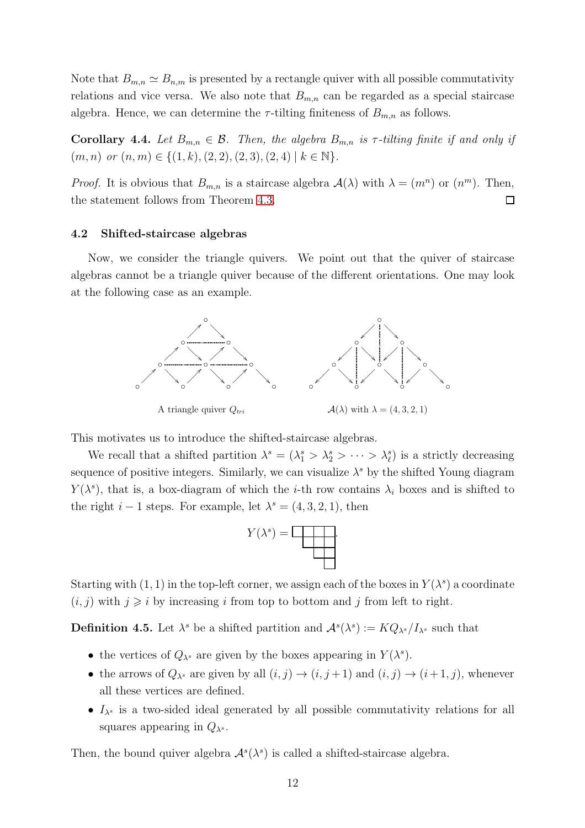Note that  $B_{m,n} \simeq B_{n,m}$  is presented by a rectangle quiver with all possible commutativity relations and vice versa. We also note that  $B_{m,n}$  can be regarded as a special staircase algebra. Hence, we can determine the  $\tau$ -tilting finiteness of  $B_{m,n}$  as follows.

<span id="page-11-0"></span>Corollary 4.4. Let  $B_{m,n} \in \mathcal{B}$ . Then, the algebra  $B_{m,n}$  is  $\tau$ -tilting finite if and only if  $(m, n)$  *or*  $(n, m) \in \{(1, k), (2, 2), (2, 3), (2, 4) \mid k \in \mathbb{N}\}.$ 

*Proof.* It is obvious that  $B_{m,n}$  is a staircase algebra  $\mathcal{A}(\lambda)$  with  $\lambda = (m^n)$  or  $(n^m)$ . Then, the statement follows from Theorem [4.3.](#page-10-0)  $\Box$ 

#### 4.2 Shifted-staircase algebras

Now, we consider the triangle quivers. We point out that the quiver of staircase algebras cannot be a triangle quiver because of the different orientations. One may look at the following case as an example.



This motivates us to introduce the shifted-staircase algebras.

We recall that a shifted partition  $\lambda^s = (\lambda_1^s > \lambda_2^s > \cdots > \lambda_\ell^s)$  is a strictly decreasing sequence of positive integers. Similarly, we can visualize  $\lambda^s$  by the shifted Young diagram  $Y(\lambda^s)$ , that is, a box-diagram of which the *i*-th row contains  $\lambda_i$  boxes and is shifted to the right  $i - 1$  steps. For example, let  $\lambda^s = (4, 3, 2, 1)$ , then



Starting with  $(1, 1)$  in the top-left corner, we assign each of the boxes in  $Y(\lambda^s)$  a coordinate  $(i, j)$  with  $j \geq i$  by increasing i from top to bottom and j from left to right.

**Definition 4.5.** Let  $\lambda^s$  be a shifted partition and  $\mathcal{A}^s(\lambda^s) := KQ_{\lambda^s}/I_{\lambda^s}$  such that

- the vertices of  $Q_{\lambda^s}$  are given by the boxes appearing in  $Y(\lambda^s)$ .
- the arrows of  $Q_{\lambda^s}$  are given by all  $(i, j) \rightarrow (i, j + 1)$  and  $(i, j) \rightarrow (i + 1, j)$ , whenever all these vertices are defined.
- $I_{\lambda^s}$  is a two-sided ideal generated by all possible commutativity relations for all squares appearing in  $Q_{\lambda^s}$ .

Then, the bound quiver algebra  $\mathcal{A}^s(\lambda^s)$  is called a shifted-staircase algebra.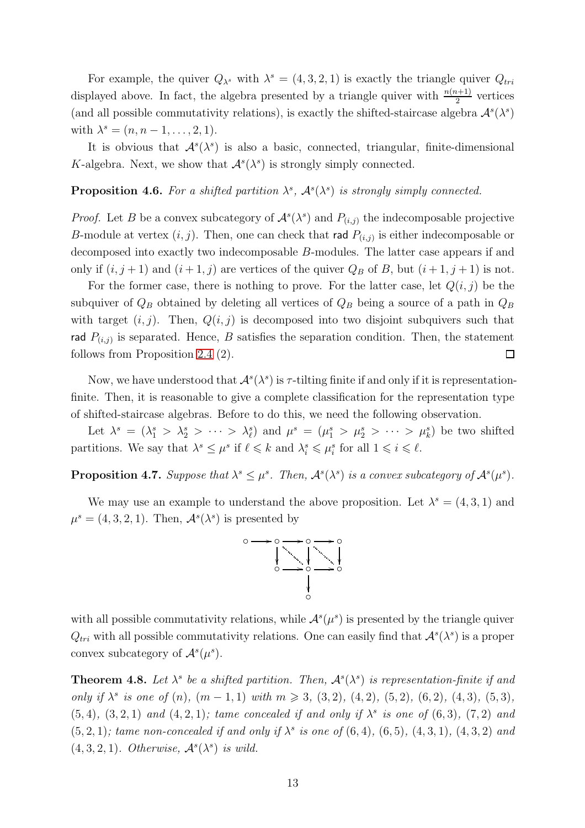For example, the quiver  $Q_{\lambda^s}$  with  $\lambda^s = (4, 3, 2, 1)$  is exactly the triangle quiver  $Q_{tri}$ displayed above. In fact, the algebra presented by a triangle quiver with  $\frac{n(n+1)}{2}$  vertices (and all possible commutativity relations), is exactly the shifted-staircase algebra  $\mathcal{A}^s(\lambda^s)$ with  $\lambda^s = (n, n-1, \ldots, 2, 1).$ 

It is obvious that  $\mathcal{A}^s(\lambda^s)$  is also a basic, connected, triangular, finite-dimensional K-algebra. Next, we show that  $\mathcal{A}^s(\lambda^s)$  is strongly simply connected.

### **Proposition 4.6.** For a shifted partition  $\lambda^s$ ,  $\mathcal{A}^s(\lambda^s)$  is strongly simply connected.

*Proof.* Let B be a convex subcategory of  $\mathcal{A}^s(\lambda^s)$  and  $P_{(i,j)}$  the indecomposable projective B-module at vertex  $(i, j)$ . Then, one can check that rad  $P_{(i,j)}$  is either indecomposable or decomposed into exactly two indecomposable B-modules. The latter case appears if and only if  $(i, j + 1)$  and  $(i + 1, j)$  are vertices of the quiver  $Q_B$  of B, but  $(i + 1, j + 1)$  is not.

For the former case, there is nothing to prove. For the latter case, let  $Q(i, j)$  be the subquiver of  $Q_B$  obtained by deleting all vertices of  $Q_B$  being a source of a path in  $Q_B$ with target  $(i, j)$ . Then,  $Q(i, j)$  is decomposed into two disjoint subquivers such that rad  $P_{(i,j)}$  is separated. Hence, B satisfies the separation condition. Then, the statement follows from Proposition [2.4](#page-4-1) (2).  $\Box$ 

Now, we have understood that  $\mathcal{A}^s(\lambda^s)$  is  $\tau$ -tilting finite if and only if it is representationfinite. Then, it is reasonable to give a complete classification for the representation type of shifted-staircase algebras. Before to do this, we need the following observation.

Let  $\lambda^s = (\lambda_1^s > \lambda_2^s > \cdots > \lambda_\ell^s)$  and  $\mu^s = (\mu_1^s > \mu_2^s > \cdots > \mu_k^s)$  be two shifted partitions. We say that  $\lambda^s \leq \mu^s$  if  $\ell \leq k$  and  $\lambda_i^s \leq \mu_i^s$  for all  $1 \leq i \leq \ell$ .

**Proposition 4.7.** Suppose that  $\lambda^s \leq \mu^s$ . Then,  $\mathcal{A}^s(\lambda^s)$  is a convex subcategory of  $\mathcal{A}^s(\mu^s)$ .

We may use an example to understand the above proposition. Let  $\lambda^s = (4, 3, 1)$  and  $\mu^s = (4, 3, 2, 1)$ . Then,  $\mathcal{A}^s(\lambda^s)$  is presented by



with all possible commutativity relations, while  $\mathcal{A}^s(\mu^s)$  is presented by the triangle quiver  $Q_{tri}$  with all possible commutativity relations. One can easily find that  $\mathcal{A}^s(\lambda^s)$  is a proper convex subcategory of  $\mathcal{A}^s(\mu^s)$ .

**Theorem 4.8.** Let  $\lambda^s$  be a shifted partition. Then,  $\mathcal{A}^s(\lambda^s)$  is representation-finite if and *only if*  $\lambda^s$  *is one of* (*n*)*,* (*m* - 1, 1) *with*  $m \ge 3$ , (3, 2)*,* (4, 2)*,* (5, 2)*,* (6, 2)*,* (4, 3)*,* (5, 3)*,*  $(5, 4)$ ,  $(3, 2, 1)$  *and*  $(4, 2, 1)$ *; tame concealed if and only if*  $\lambda^s$  *is one of*  $(6, 3)$ *,*  $(7, 2)$  *and*  $(5, 2, 1)$ ; tame non-concealed if and only if  $\lambda^s$  is one of  $(6, 4)$ ,  $(6, 5)$ ,  $(4, 3, 1)$ ,  $(4, 3, 2)$  and  $(4, 3, 2, 1)$ *. Otherwise*,  $\mathcal{A}^s(\lambda^s)$  *is wild.*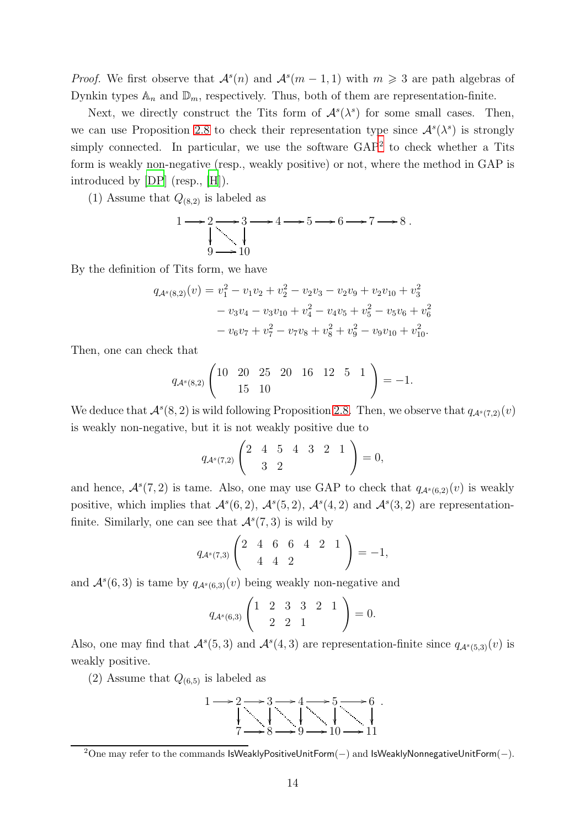*Proof.* We first observe that  $\mathcal{A}^s(n)$  and  $\mathcal{A}^s(m-1,1)$  with  $m \geq 3$  are path algebras of Dynkin types  $\mathbb{A}_n$  and  $\mathbb{D}_m$ , respectively. Thus, both of them are representation-finite.

Next, we directly construct the Tits form of  $\mathcal{A}^s(\lambda^s)$  for some small cases. Then, we can use Proposition [2.8](#page-5-0) to check their representation type since  $\mathcal{A}^s(\lambda^s)$  is strongly simply connected. In particular, we use the software GAP<sup>[2](#page-13-0)</sup> to check whether a Tits form is weakly non-negative (resp., weakly positive) or not, where the method in GAP is introduced by [\[DP\]](#page-28-16) (resp., [\[H\]](#page-28-17)).

(1) Assume that  $Q_{(8,2)}$  is labeled as

$$
1 \longrightarrow 2 \longrightarrow 3 \longrightarrow 4 \longrightarrow 5 \longrightarrow 6 \longrightarrow 7 \longrightarrow 8.
$$
  
\n
$$
9 \longrightarrow 10
$$

By the definition of Tits form, we have

$$
q_{\mathcal{A}^s(8,2)}(v) = v_1^2 - v_1v_2 + v_2^2 - v_2v_3 - v_2v_9 + v_2v_{10} + v_3^2
$$
  

$$
- v_3v_4 - v_3v_{10} + v_4^2 - v_4v_5 + v_5^2 - v_5v_6 + v_6^2
$$
  

$$
- v_6v_7 + v_7^2 - v_7v_8 + v_8^2 + v_9^2 - v_9v_{10} + v_{10}^2.
$$

Then, one can check that

$$
q_{\mathcal{A}^s(8,2)}\left(\begin{matrix}10 & 20 & 25 & 20 & 16 & 12 & 5 & 1\\ & 15 & 10 & & & \end{matrix}\right) = -1.
$$

We deduce that  $\mathcal{A}^s(8,2)$  is wild following Proposition [2.8.](#page-5-0) Then, we observe that  $q_{\mathcal{A}^s(7,2)}(v)$ is weakly non-negative, but it is not weakly positive due to

$$
q_{\mathcal{A}^s(7,2)}\left(\begin{matrix}2 & 4 & 5 & 4 & 3 & 2 & 1\\ & 3 & 2 & & \end{matrix}\right)=0,
$$

and hence,  $\mathcal{A}^s(7,2)$  is tame. Also, one may use GAP to check that  $q_{\mathcal{A}^s(6,2)}(v)$  is weakly positive, which implies that  $\mathcal{A}^s(6,2)$ ,  $\mathcal{A}^s(5,2)$ ,  $\mathcal{A}^s(4,2)$  and  $\mathcal{A}^s(3,2)$  are representationfinite. Similarly, one can see that  $\mathcal{A}^s(7,3)$  is wild by

$$
q_{\mathcal{A}^s(7,3)}\left(\begin{array}{cccccc}2 & 4 & 6 & 6 & 4 & 2 & 1\\ & 4 & 4 & 2 & & \end{array}\right) = -1,
$$

and  $\mathcal{A}^s(6,3)$  is tame by  $q_{\mathcal{A}^s(6,3)}(v)$  being weakly non-negative and

$$
q_{\mathcal{A}^s(6,3)}\left(\begin{array}{rrrr} 1 & 2 & 3 & 3 & 2 & 1 \\ & 2 & 2 & 1 & \end{array}\right) = 0.
$$

Also, one may find that  $\mathcal{A}^s(5,3)$  and  $\mathcal{A}^s(4,3)$  are representation-finite since  $q_{\mathcal{A}^s(5,3)}(v)$  is weakly positive.

(2) Assume that  $Q_{(6,5)}$  is labeled as



<span id="page-13-0"></span> $2$ One may refer to the commands IsWeaklyPositiveUnitForm(-) and IsWeaklyNonnegativeUnitForm(-).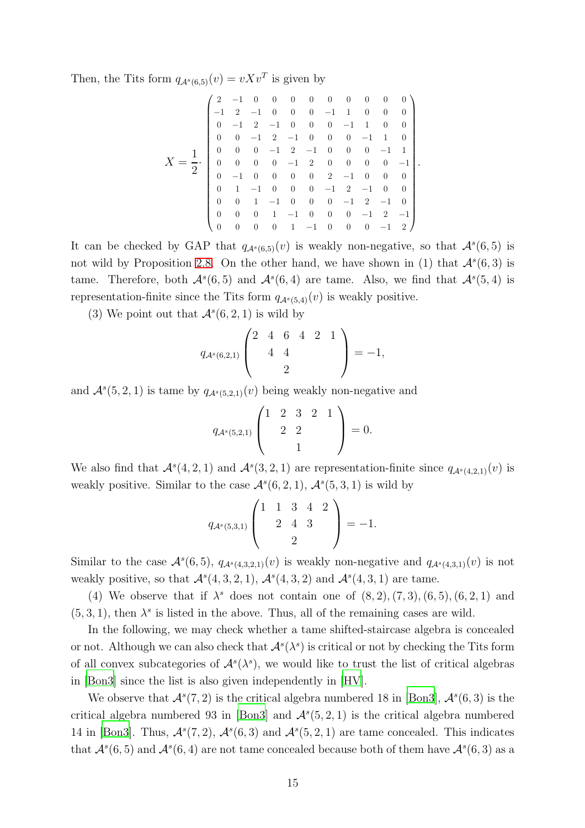Then, the Tits form  $q_{\mathcal{A}^s(6,5)}(v) = vXv^T$  is given by

$$
X = \frac{1}{2} \cdot \begin{pmatrix} 2 & -1 & 0 & 0 & 0 & 0 & 0 & 0 & 0 & 0 & 0 \\ -1 & 2 & -1 & 0 & 0 & 0 & -1 & 1 & 0 & 0 & 0 \\ 0 & -1 & 2 & -1 & 0 & 0 & 0 & -1 & 1 & 0 & 0 \\ 0 & 0 & -1 & 2 & -1 & 0 & 0 & 0 & -1 & 1 & 0 \\ 0 & 0 & 0 & -1 & 2 & -1 & 0 & 0 & 0 & -1 & 1 \\ 0 & 0 & 0 & 0 & -1 & 2 & 0 & 0 & 0 & 0 & -1 \\ 0 & -1 & 0 & 0 & 0 & 0 & 2 & -1 & 0 & 0 & 0 \\ 0 & 1 & -1 & 0 & 0 & 0 & -1 & 2 & -1 & 0 & 0 \\ 0 & 0 & 1 & -1 & 0 & 0 & 0 & -1 & 2 & -1 & 0 \\ 0 & 0 & 0 & 1 & -1 & 0 & 0 & 0 & -1 & 2 & -1 \\ 0 & 0 & 0 & 0 & 1 & -1 & 0 & 0 & 0 & -1 & 2 \end{pmatrix}.
$$

It can be checked by GAP that  $q_{\mathcal{A}^s(6,5)}(v)$  is weakly non-negative, so that  $\mathcal{A}^s(6,5)$  is not wild by Proposition [2.8.](#page-5-0) On the other hand, we have shown in (1) that  $\mathcal{A}^s(6,3)$  is tame. Therefore, both  $\mathcal{A}^s(6,5)$  and  $\mathcal{A}^s(6,4)$  are tame. Also, we find that  $\mathcal{A}^s(5,4)$  is representation-finite since the Tits form  $q_{\mathcal{A}^s(5,4)}(v)$  is weakly positive.

(3) We point out that  $\mathcal{A}^s(6, 2, 1)$  is wild by

$$
q_{\mathcal{A}^s(6,2,1)} \begin{pmatrix} 2 & 4 & 6 & 4 & 2 & 1 \\ 4 & 4 & & & \\ & & 2 & & \end{pmatrix} = -1,
$$

and  $\mathcal{A}^s(5,2,1)$  is tame by  $q_{\mathcal{A}^s(5,2,1)}(v)$  being weakly non-negative and

$$
q_{\mathcal{A}^s(5,2,1)} \begin{pmatrix} 1 & 2 & 3 & 2 & 1 \\ & 2 & 2 & & \\ & & 1 & & \end{pmatrix} = 0.
$$

We also find that  $\mathcal{A}^s(4,2,1)$  and  $\mathcal{A}^s(3,2,1)$  are representation-finite since  $q_{\mathcal{A}^s(4,2,1)}(v)$  is weakly positive. Similar to the case  $\mathcal{A}^s(6,2,1), \mathcal{A}^s(5,3,1)$  is wild by

$$
q_{\mathcal{A}^s(5,3,1)} \begin{pmatrix} 1 & 1 & 3 & 4 & 2 \\ & 2 & 4 & 3 & \\ & & 2 & \end{pmatrix} = -1.
$$

Similar to the case  $\mathcal{A}^s(6,5)$ ,  $q_{\mathcal{A}^s(4,3,2,1)}(v)$  is weakly non-negative and  $q_{\mathcal{A}^s(4,3,1)}(v)$  is not weakly positive, so that  $\mathcal{A}^s(4,3,2,1), \mathcal{A}^s(4,3,2)$  and  $\mathcal{A}^s(4,3,1)$  are tame.

(4) We observe that if  $\lambda^s$  does not contain one of  $(8, 2), (7, 3), (6, 5), (6, 2, 1)$  and  $(5, 3, 1)$ , then  $\lambda^s$  is listed in the above. Thus, all of the remaining cases are wild.

In the following, we may check whether a tame shifted-staircase algebra is concealed or not. Although we can also check that  $\mathcal{A}^s(\lambda^s)$  is critical or not by checking the Tits form of all convex subcategories of  $\mathcal{A}^s(\lambda^s)$ , we would like to trust the list of critical algebras in [\[Bon3](#page-28-5)] since the list is also given independently in [\[HV\]](#page-28-6).

We observe that  $\mathcal{A}^s(7,2)$  is the critical algebra numbered 18 in [\[Bon3\]](#page-28-5),  $\mathcal{A}^s(6,3)$  is the critical algebra numbered 93 in [\[Bon3\]](#page-28-5) and  $\mathcal{A}^s(5,2,1)$  is the critical algebra numbered 14 in [\[Bon3](#page-28-5)]. Thus,  $\mathcal{A}^s(7,2)$ ,  $\mathcal{A}^s(6,3)$  and  $\mathcal{A}^s(5,2,1)$  are tame concealed. This indicates that  $\mathcal{A}^s(6,5)$  and  $\mathcal{A}^s(6,4)$  are not tame concealed because both of them have  $\mathcal{A}^s(6,3)$  as a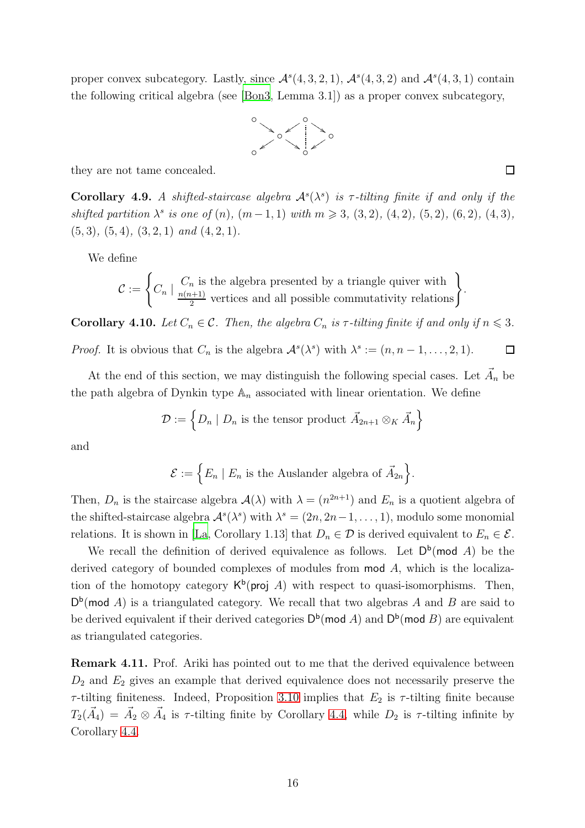proper convex subcategory. Lastly, since  $\mathcal{A}^s(4,3,2,1)$ ,  $\mathcal{A}^s(4,3,2)$  and  $\mathcal{A}^s(4,3,1)$  contain the following critical algebra (see [\[Bon3,](#page-28-5) Lemma 3.1]) as a proper convex subcategory,



they are not tame concealed.

Corollary 4.9. A shifted-staircase algebra  $\mathcal{A}^s(\lambda^s)$  is  $\tau$ -tilting finite if and only if the *shifted partition*  $\lambda^s$  *is one of* (*n*)*,* (*m* - 1*,* 1) *with*  $m \ge 3$ *,* (3*,* 2)*,* (4*,* 2)*,* (5*,* 2)*,* (4*,* 3)*,* (5, 3)*,* (5, 4)*,* (3, 2, 1) *and* (4, 2, 1)*.*

We define

$$
\mathcal{C} := \left\{ C_n \mid \frac{C_n \text{ is the algebra presented by a triangle quiver with }{2} \text{ vertices and all possible commutativity relations} \right\}.
$$

**Corollary 4.10.** *Let*  $C_n \in \mathcal{C}$ *. Then, the algebra*  $C_n$  *is*  $\tau$ *-tilting finite if and only if*  $n \leq 3$ *.* 

*Proof.* It is obvious that  $C_n$  is the algebra  $\mathcal{A}^s(\lambda^s)$  with  $\lambda^s := (n, n-1, \ldots, 2, 1)$ .  $\Box$ 

At the end of this section, we may distinguish the following special cases. Let  $\vec{A}_n$  be the path algebra of Dynkin type  $\mathbb{A}_n$  associated with linear orientation. We define

$$
\mathcal{D} := \left\{ D_n \mid D_n \text{ is the tensor product } \vec{A}_{2n+1} \otimes_K \vec{A}_n \right\}
$$

and

$$
\mathcal{E} := \Big\{ E_n \mid E_n \text{ is the Auslander algebra of } \vec{A}_{2n} \Big\}.
$$

Then,  $D_n$  is the staircase algebra  $\mathcal{A}(\lambda)$  with  $\lambda = (n^{2n+1})$  and  $E_n$  is a quotient algebra of the shifted-staircase algebra  $\mathcal{A}^s(\lambda^s)$  with  $\lambda^s = (2n, 2n-1, \ldots, 1)$ , modulo some monomial relations. It is shown in [\[La](#page-28-18), Corollary 1.13] that  $D_n \in \mathcal{D}$  is derived equivalent to  $E_n \in \mathcal{E}$ .

We recall the definition of derived equivalence as follows. Let  $D^b$ (mod A) be the derived category of bounded complexes of modules from mod A, which is the localization of the homotopy category  $\mathsf{K}^{\mathsf{b}}(\text{proj } A)$  with respect to quasi-isomorphisms. Then,  $D^b$ (mod A) is a triangulated category. We recall that two algebras A and B are said to be derived equivalent if their derived categories  $\mathsf{D}^{\mathsf{b}}(\mathsf{mod}\ A)$  and  $\mathsf{D}^{\mathsf{b}}(\mathsf{mod}\ B)$  are equivalent as triangulated categories.

Remark 4.11. Prof. Ariki has pointed out to me that the derived equivalence between  $D_2$  and  $E_2$  gives an example that derived equivalence does not necessarily preserve the  $\tau$ -tilting finiteness. Indeed, Proposition [3.10](#page-8-0) implies that  $E_2$  is  $\tau$ -tilting finite because  $T_2(\vec{A}_4) = \vec{A}_2 \otimes \vec{A}_4$  is  $\tau$ -tilting finite by Corollary [4.4,](#page-11-0) while  $D_2$  is  $\tau$ -tilting infinite by Corollary [4.4.](#page-11-0)

 $\Box$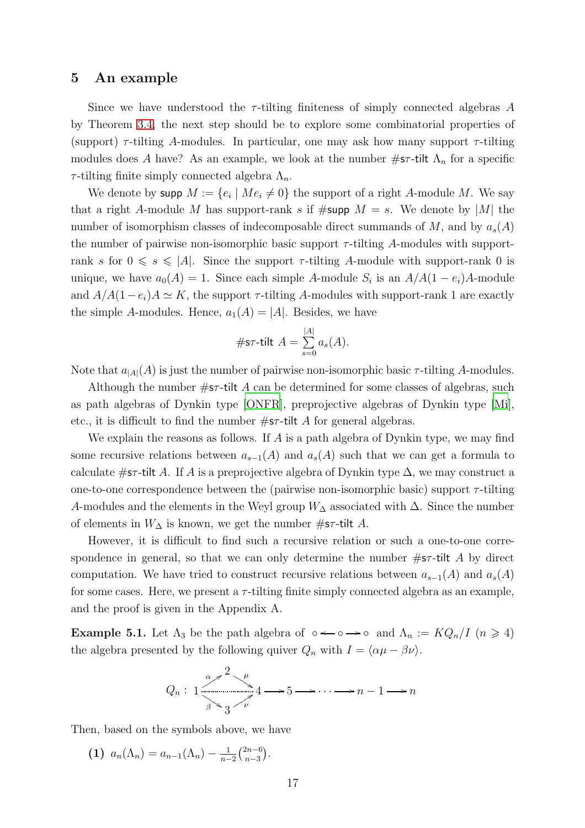### 5 An example

Since we have understood the  $\tau$ -tilting finiteness of simply connected algebras A by Theorem [3.4,](#page-6-0) the next step should be to explore some combinatorial properties of (support)  $\tau$ -tilting A-modules. In particular, one may ask how many support  $\tau$ -tilting modules does A have? As an example, we look at the number  $\#\text{sr-tilt }\Lambda_n$  for a specific  $\tau$ -tilting finite simply connected algebra  $\Lambda_n$ .

We denote by supp  $M := \{e_i \mid Me_i \neq 0\}$  the support of a right A-module M. We say that a right A-module M has support-rank s if  $\# \text{supp } M = s$ . We denote by |M| the number of isomorphism classes of indecomposable direct summands of M, and by  $a_s(A)$ the number of pairwise non-isomorphic basic support  $\tau$ -tilting A-modules with supportrank s for  $0 \le s \le |A|$ . Since the support  $\tau$ -tilting A-module with support-rank 0 is unique, we have  $a_0(A) = 1$ . Since each simple A-module  $S_i$  is an  $A/A(1 - e_i)A$ -module and  $A/A(1-e_i)A \simeq K$ , the support  $\tau$ -tilting A-modules with support-rank 1 are exactly the simple A-modules. Hence,  $a_1(A) = |A|$ . Besides, we have

#s
$$
\tau
$$
-tilt  $A = \sum_{s=0}^{|A|} a_s(A)$ .

Note that  $a_{|A|}(A)$  is just the number of pairwise non-isomorphic basic  $\tau$ -tilting A-modules.

Although the number  $\#\text{sr-tilt}$  A can be determined for some classes of algebras, such as path algebras of Dynkin type [\[ONFR\]](#page-29-12), preprojective algebras of Dynkin type [\[Mi\]](#page-29-0), etc., it is difficult to find the number  $\#\textsf{sr-tilt}$  A for general algebras.

We explain the reasons as follows. If A is a path algebra of Dynkin type, we may find some recursive relations between  $a_{s-1}(A)$  and  $a_s(A)$  such that we can get a formula to calculate  $#s\tau$ -tilt A. If A is a preprojective algebra of Dynkin type  $\Delta$ , we may construct a one-to-one correspondence between the (pairwise non-isomorphic basic) support  $\tau$ -tilting A-modules and the elements in the Weyl group  $W_{\Delta}$  associated with  $\Delta$ . Since the number of elements in  $W_{\Delta}$  is known, we get the number #st-tilt A.

However, it is difficult to find such a recursive relation or such a one-to-one correspondence in general, so that we can only determine the number  $\#s\tau$ -tilt A by direct computation. We have tried to construct recursive relations between  $a_{s-1}(A)$  and  $a_s(A)$ for some cases. Here, we present a  $\tau$ -tilting finite simply connected algebra as an example, and the proof is given in the Appendix A.

<span id="page-16-0"></span>**Example 5.1.** Let  $\Lambda_3$  be the path algebra of ∘ $\leftarrow \circ \rightarrow \circ$  and  $\Lambda_n := KQ_n/I$  ( $n \geq 4$ ) the algebra presented by the following quiver  $Q_n$  with  $I = \langle \alpha \mu - \beta \nu \rangle$ .

$$
Q_n: 1 \xrightarrow{\alpha \nearrow 2 \searrow \mu} 4 \longrightarrow 5 \longrightarrow \cdots \longrightarrow n-1 \longrightarrow n
$$

Then, based on the symbols above, we have

(1)  $a_n(\Lambda_n) = a_{n-1}(\Lambda_n) - \frac{1}{n-1}$  $rac{1}{n-2} \binom{2n-6}{n-3}$  $\binom{2n-6}{n-3}$ .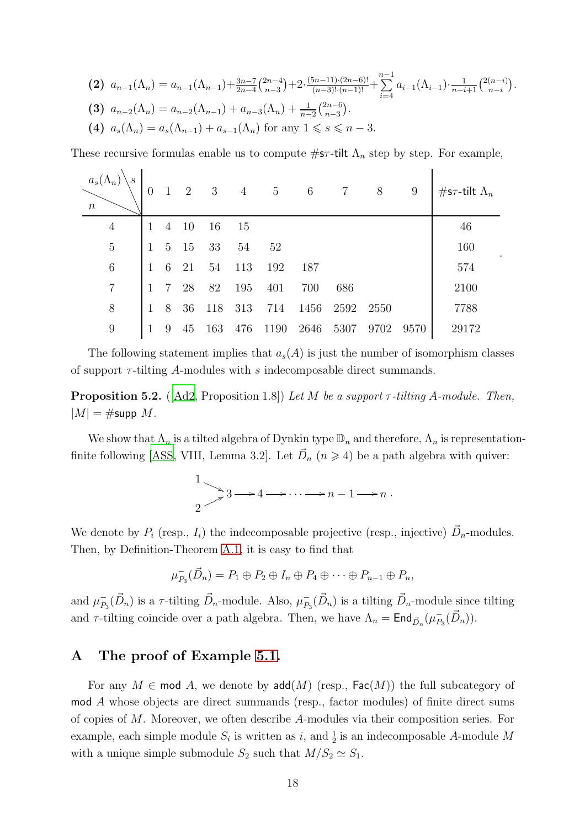$$
\begin{aligned}\n\text{(2)} \ \ a_{n-1}(\Lambda_n) &= a_{n-1}(\Lambda_{n-1}) + \frac{3n-7}{2n-4} \binom{2n-4}{n-3} + 2 \cdot \frac{(5n-11) \cdot (2n-6)!}{(n-3)!(n-1)!} + \sum_{i=4}^{n-1} a_{i-1}(\Lambda_{i-1}) \cdot \frac{1}{n-i+1} \binom{2(n-i)}{n-i} . \\
\text{(3)} \ \ a_{n-2}(\Lambda_n) &= a_{n-2}(\Lambda_{n-1}) + a_{n-3}(\Lambda_n) + \frac{1}{n-2} \binom{2n-6}{n-3} . \\
\text{(4)} \ \ a_s(\Lambda_n) &= a_s(\Lambda_{n-1}) + a_{s-1}(\Lambda_n) \text{ for any } 1 \le s \le n-3.\n\end{aligned}
$$

These recursive formulas enable us to compute  $\#\text{sr-tilt }\Lambda_n$  step by step. For example,

| $a_s(\Lambda_n)$<br>$\boldsymbol{s}$<br>$\boldsymbol{n}$ | $\overline{0}$ | $\overline{1}$  | 2   | $\overline{\phantom{a}3}$ |     | $4\quad 5$ | 6    | $\overline{7}$ | 8    | 9    | #s $\tau$ -tilt $\Lambda_n$ |
|----------------------------------------------------------|----------------|-----------------|-----|---------------------------|-----|------------|------|----------------|------|------|-----------------------------|
| $\overline{4}$                                           | $\mathbf{1}$   | $4\overline{4}$ | -10 | 16                        | 15  |            |      |                |      |      | 46                          |
| $\overline{5}$                                           | $\mathbf{1}$   | 5 <sup>1</sup>  | -15 | 33                        | 54  | 52         |      |                |      |      | 160                         |
| $\boldsymbol{6}$                                         | $\mathbf{1}$   | 6               | 21  | 54                        | 113 | 192        | 187  |                |      |      | 574                         |
| $\overline{7}$                                           | 1              | $\overline{7}$  | 28  | 82                        | 195 | 401        | 700  | 686            |      |      | 2100                        |
| 8                                                        | $\mathbf{1}$   | 8               | 36  | 118                       | 313 | 714        | 1456 | 2592           | 2550 |      | 7788                        |
| 9                                                        | 1              | 9               | 45  | 163                       | 476 | 1190       | 2646 | 5307           | 9702 | 9570 | 29172                       |

.

The following statement implies that  $a_s(A)$  is just the number of isomorphism classes of support  $\tau$ -tilting A-modules with s indecomposable direct summands.

<span id="page-17-0"></span>Proposition 5.2. ([\[Ad2](#page-27-11), Proposition 1.8]) *Let* M *be a support* τ *-tilting* A*-module. Then,*  $|M| = \#\text{supp }M$ .

We show that  $\Lambda_n$  is a tilted algebra of Dynkin type  $\mathbb{D}_n$  and therefore,  $\Lambda_n$  is representation-finite following [\[ASS](#page-28-3), VIII, Lemma 3.2]. Let  $\vec{D}_n$   $(n \ge 4)$  be a path algebra with quiver:

$$
\frac{1}{2} \longrightarrow 3 \longrightarrow 4 \longrightarrow \cdots \longrightarrow n-1 \longrightarrow n.
$$

We denote by  $P_i$  (resp.,  $I_i$ ) the indecomposable projective (resp., injective)  $\vec{D}_n$ -modules. Then, by Definition-Theorem [A.1,](#page-18-0) it is easy to find that

$$
\mu_{P_3}^-(\vec{D}_n) = P_1 \oplus P_2 \oplus I_n \oplus P_4 \oplus \cdots \oplus P_{n-1} \oplus P_n,
$$

and  $\mu_P^ \bar{P}_3(\vec{D}_n)$  is a  $\tau$ -tilting  $\vec{D}_n$ -module. Also,  $\mu_P^ P_{B_3}(\vec{D}_n)$  is a tilting  $\vec{D}_n$ -module since tilting and  $\tau$ -tilting coincide over a path algebra. Then, we have  $\Lambda_n = \text{End}_{\vec{D}_n}(\mu_{P_1}^{-1})$  $^{-}_{P_3}(\vec{D}_n)$ ).

### A The proof of Example [5.1.](#page-16-0)

For any  $M \in \text{mod } A$ , we denote by  $\text{add}(M)$  (resp.,  $\text{Fac}(M)$ ) the full subcategory of mod A whose objects are direct summands (resp., factor modules) of finite direct sums of copies of M. Moreover, we often describe A-modules via their composition series. For example, each simple module  $S_i$  is written as i, and  $\frac{1}{2}$  is an indecomposable A-module M with a unique simple submodule  $S_2$  such that  $M/S_2 \simeq S_1$ .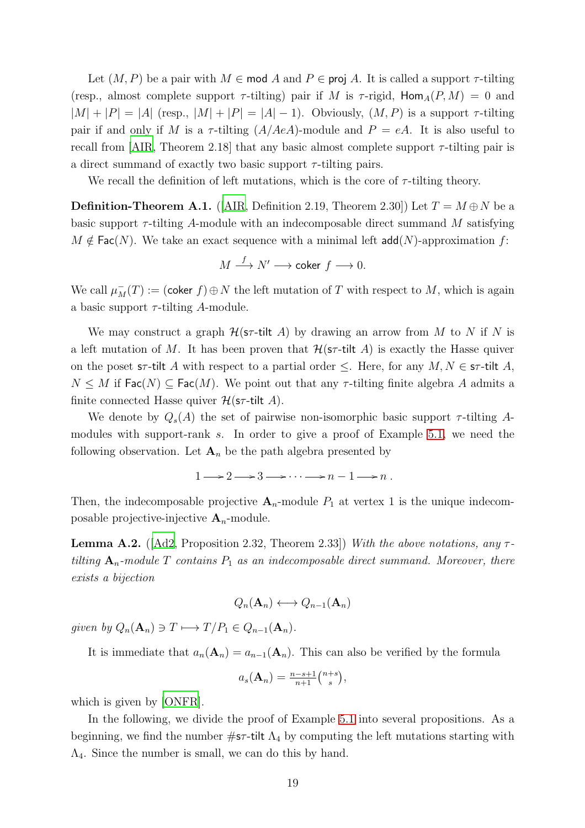Let  $(M, P)$  be a pair with  $M \in \text{mod } A$  and  $P \in \text{proj } A$ . It is called a support  $\tau$ -tilting (resp., almost complete support  $\tau$ -tilting) pair if M is  $\tau$ -rigid,  $\text{Hom}_{A}(P, M) = 0$  and  $|M| + |P| = |A|$  (resp.,  $|M| + |P| = |A| - 1$ ). Obviously,  $(M, P)$  is a support  $\tau$ -tilting pair if and only if M is a  $\tau$ -tilting  $(A/AeA)$ -module and  $P = eA$ . It is also useful to recall from [\[AIR](#page-27-0), Theorem 2.18] that any basic almost complete support  $\tau$ -tilting pair is a direct summand of exactly two basic support  $\tau$ -tilting pairs.

We recall the definition of left mutations, which is the core of  $\tau$ -tilting theory.

<span id="page-18-0"></span>**Definition-Theorem A.1.** ([\[AIR](#page-27-0), Definition 2.19, Theorem 2.30]) Let  $T = M \oplus N$  be a basic support  $\tau$ -tilting A-module with an indecomposable direct summand M satisfying  $M \notin \text{Fac}(N)$ . We take an exact sequence with a minimal left  $\text{add}(N)$ -approximation f:

$$
M \xrightarrow{f} N' \longrightarrow \text{coker } f \longrightarrow 0.
$$

We call  $\mu_M^-(T) := (\mathsf{coker}\; f) \oplus N$  the left mutation of T with respect to M, which is again a basic support  $\tau$ -tilting A-module.

We may construct a graph  $\mathcal{H}(\mathsf{sr}\text{-}\mathsf{tilt}\;A)$  by drawing an arrow from M to N if N is a left mutation of M. It has been proven that  $\mathcal{H}(\mathsf{sr}\text{-}tilt)$  is exactly the Hasse quiver on the poset s $\tau$ -tilt A with respect to a partial order  $\leq$ . Here, for any  $M, N \in \mathsf{sr}\text{-}$ tilt A,  $N \leq M$  if  $\textsf{Fac}(N) \subseteq \textsf{Fac}(M)$ . We point out that any  $\tau$ -tilting finite algebra A admits a finite connected Hasse quiver  $\mathcal{H}(\mathsf{s}\tau\text{-tilt} \mathsf{H} \Lambda)$ .

We denote by  $Q_s(A)$  the set of pairwise non-isomorphic basic support  $\tau$ -tilting A-modules with support-rank s. In order to give a proof of Example [5.1,](#page-16-0) we need the following observation. Let  $\mathbf{A}_n$  be the path algebra presented by

 $1 \longrightarrow 2 \longrightarrow 3 \longrightarrow \cdots \longrightarrow n-1 \longrightarrow n$ .

Then, the indecomposable projective  $A_n$ -module  $P_1$  at vertex 1 is the unique indecomposable projective-injective  $A_n$ -module.

<span id="page-18-1"></span>**Lemma A.2.** ( $[Ad2, Proposition 2.32, Theorem 2.33]$  $[Ad2, Proposition 2.32, Theorem 2.33]$ ) *With the above notations, any*  $\tau$ *tilting*  $A_n$ -module T contains  $P_1$  as an indecomposable direct summand. Moreover, there *exists a bijection*

$$
Q_n(\mathbf{A}_n) \longleftrightarrow Q_{n-1}(\mathbf{A}_n)
$$

*given by*  $Q_n(\mathbf{A}_n) \ni T \longmapsto T/P_1 \in Q_{n-1}(\mathbf{A}_n)$ .

It is immediate that  $a_n(\mathbf{A}_n) = a_{n-1}(\mathbf{A}_n)$ . This can also be verified by the formula

$$
a_s(\mathbf{A}_n) = \frac{n-s+1}{n+1} \binom{n+s}{s},
$$

which is given by [\[ONFR](#page-29-12)].

In the following, we divide the proof of Example [5.1](#page-16-0) into several propositions. As a beginning, we find the number  $\#\text{sr-tilt }\Lambda_4$  by computing the left mutations starting with Λ4. Since the number is small, we can do this by hand.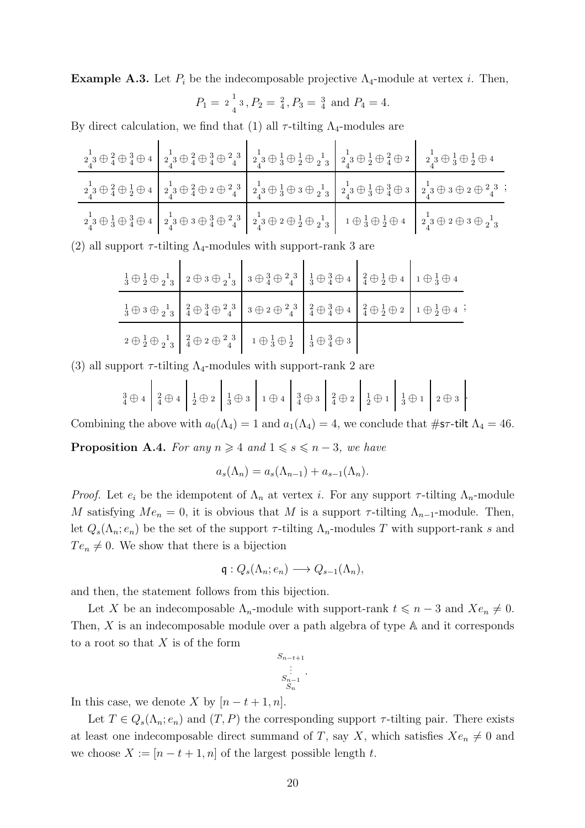**Example A.3.** Let  $P_i$  be the indecomposable projective  $\Lambda_4$ -module at vertex i. Then,

$$
P_1 = 2\frac{1}{4}^1
$$
,  $P_2 = \frac{2}{4}$ ,  $P_3 = \frac{3}{4}$  and  $P_4 = 4$ .

By direct calculation, we find that (1) all  $\tau$ -tilting  $\Lambda_4$ -modules are

| $\left.\begin{smallmatrix}1\\2\end{smallmatrix}\right\downarrow 3\oplus\left.\begin{smallmatrix}2\\4\end{smallmatrix}\oplus 3\end{smallmatrix}\right\vert\left.\begin{smallmatrix}1\\2\end{smallmatrix}\right\downarrow 3\oplus\left.\begin{smallmatrix}2\\4\end{smallmatrix}\oplus 3\end{smallmatrix}\right\vert\left.\begin{smallmatrix}1\\2\end{smallmatrix}\right\downarrow 3\oplus\left.\begin{smallmatrix}1\\3\end{smallmatrix}\oplus 3\end{smallmatrix}\right\vert\left.\begin{smallmatrix}1\\2\end{smallmatrix}\right\downarrow 3\oplus\left.\begin{smallmatrix}1\\2\end{smallmatrix}\right\downarrow 3\oplus$ |  |                                                                                                                                                                                                                                                                                                                                                                                                                                                                                                                                             |
|------------------------------------------------------------------------------------------------------------------------------------------------------------------------------------------------------------------------------------------------------------------------------------------------------------------------------------------------------------------------------------------------------------------------------------------------------------------------------------------------------------------------------------------------------------------------------------------------------------------------|--|---------------------------------------------------------------------------------------------------------------------------------------------------------------------------------------------------------------------------------------------------------------------------------------------------------------------------------------------------------------------------------------------------------------------------------------------------------------------------------------------------------------------------------------------|
|                                                                                                                                                                                                                                                                                                                                                                                                                                                                                                                                                                                                                        |  | $\left.\begin{smallmatrix}1\cr 2\cr 4\cr \end{smallmatrix}\oplus\left.\begin{smallmatrix}2\cr 4\cr \end{smallmatrix}\oplus\left.\begin{smallmatrix}1\cr 2\cr 4\cr \end{smallmatrix}\right\}\oplus\left.\begin{smallmatrix}1\cr 2\cr 4\cr \end{smallmatrix}\oplus\left.\begin{smallmatrix}2\cr 2\cr 4\cr \end{smallmatrix}\right\}\oplus\left.\begin{smallmatrix}1\cr 2\cr 3\cr \end{smallmatrix}\oplus\left.\begin{smallmatrix}1\cr 3\cr 2\cr \end{smallmatrix}\oplus\left.\begin{smallmatrix}1\cr 3\cr 2\cr \end{smallmatrix}\right\}\opl$ |
|                                                                                                                                                                                                                                                                                                                                                                                                                                                                                                                                                                                                                        |  | $\left.\begin{smallmatrix}1\ 2\ 4\ 3\ \end{smallmatrix} \oplus \begin{smallmatrix}1\ 3\ 4\ \end{smallmatrix} \oplus \begin{smallmatrix}1\ 2\ 4\ 3\ \end{smallmatrix} \oplus \begin{smallmatrix}1\ 3\ 4\ \end{smallmatrix} \oplus \begin{smallmatrix}3\ 4\ 2\ \end{smallmatrix} \oplus \begin{smallmatrix}2\ 3\ 4\ \end{smallmatrix} \end{smallmatrix}\right\}\left.\begin{smallmatrix}1\ 2\ 4\ 3\ \end{smallmatrix} \oplus \begin{smallmatrix}1\ 2\ 2\ \end{smallmatrix} \oplus \begin{smallmatrix}1\ 2\ 2\ \end{small$                     |

(2) all support  $\tau$ -tilting  $\Lambda_4$ -modules with support-rank 3 are

| $\frac{1}{3} \oplus \frac{1}{2} \oplus \frac{1}{2 \cdot 3}$ 2 $\oplus$ 3 $\oplus$ $\frac{1}{2 \cdot 3}$ 3 $\oplus$ $\frac{3}{4} \oplus$ $\frac{2}{4}$ $\oplus$ $\frac{3}{4}$ $\oplus$ $\frac{3}{4}$ $\oplus$ $\frac{1}{4}$ $\oplus$ $\frac{1}{2}$ $\oplus$ $\frac{1}{4}$ $\oplus$ $\frac{1}{3}$ $\oplus$ $\stackrel{1}{4}$ |  |  |
|----------------------------------------------------------------------------------------------------------------------------------------------------------------------------------------------------------------------------------------------------------------------------------------------------------------------------|--|--|
|                                                                                                                                                                                                                                                                                                                            |  |  |
| $2 \oplus \frac{1}{2} \oplus \frac{1}{2} \left  \begin{array}{c} 2 \\ 4 \oplus 2 \oplus \frac{2}{4} \end{array} \right  2 \oplus 2 \oplus \frac{2}{4} \left  \begin{array}{c} 1 \\ 1 \oplus \frac{1}{3} \oplus \frac{1}{2} \end{array} \right  2 \oplus \frac{3}{4} \oplus 3$                                              |  |  |

(3) all support  $\tau$ -tilting  $\Lambda_4$ -modules with support-rank 2 are

$$
\frac{3}{4} \oplus 4 \left[ \frac{2}{4} \oplus 4 \right] \left[ \frac{1}{2} \oplus 2 \right] \left[ \frac{1}{3} \oplus 3 \right] \left[ 1 \oplus 4 \right] \left[ \frac{3}{4} \oplus 3 \right] \left[ \frac{2}{4} \oplus 2 \right] \left[ \frac{1}{2} \oplus 1 \right] \left[ \frac{1}{3} \oplus 1 \right] \left[ 2 \oplus 3 \right].
$$

Combining the above with  $a_0(\Lambda_4) = 1$  and  $a_1(\Lambda_4) = 4$ , we conclude that  $\#\text{sr-tilt }\Lambda_4 = 46$ .

<span id="page-19-0"></span>**Proposition A.4.** *For any*  $n \geq 4$  *and*  $1 \leq s \leq n-3$ *, we have* 

$$
a_s(\Lambda_n) = a_s(\Lambda_{n-1}) + a_{s-1}(\Lambda_n).
$$

*Proof.* Let  $e_i$  be the idempotent of  $\Lambda_n$  at vertex i. For any support  $\tau$ -tilting  $\Lambda_n$ -module M satisfying  $Me_n = 0$ , it is obvious that M is a support  $\tau$ -tilting  $\Lambda_{n-1}$ -module. Then, let  $Q_s(\Lambda_n; e_n)$  be the set of the support  $\tau$ -tilting  $\Lambda_n$ -modules T with support-rank s and  $Te_n \neq 0$ . We show that there is a bijection

$$
\mathfrak{q}: Q_s(\Lambda_n; e_n) \longrightarrow Q_{s-1}(\Lambda_n),
$$

and then, the statement follows from this bijection.

Let X be an indecomposable  $\Lambda_n$ -module with support-rank  $t \leq n-3$  and  $Xe_n \neq 0$ . Then,  $X$  is an indecomposable module over a path algebra of type  $A$  and it corresponds to a root so that  $X$  is of the form

$$
S_{n-t+1}
$$
  

$$
\vdots
$$
  

$$
S_{n-1}
$$
  

$$
S_n
$$

In this case, we denote X by  $[n - t + 1, n]$ .

Let  $T \in Q_s(\Lambda_n; e_n)$  and  $(T, P)$  the corresponding support  $\tau$ -tilting pair. There exists at least one indecomposable direct summand of T, say X, which satisfies  $X_{\mathcal{C}_n} \neq 0$  and we choose  $X := [n - t + 1, n]$  of the largest possible length t.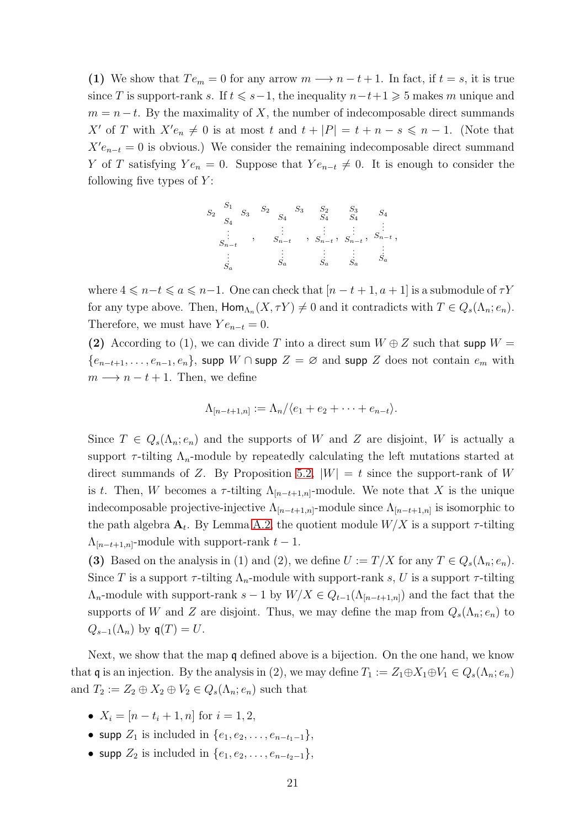(1) We show that  $Te_m = 0$  for any arrow  $m \longrightarrow n-t+1$ . In fact, if  $t = s$ , it is true since T is support-rank s. If  $t \le s-1$ , the inequality  $n-t+1 \ge 5$  makes m unique and  $m = n - t$ . By the maximality of X, the number of indecomposable direct summands X' of T with  $X' e_n \neq 0$  is at most t and  $t + |P| = t + n - s \leq n - 1$ . (Note that  $X'e_{n-t} = 0$  is obvious.) We consider the remaining indecomposable direct summand Y of T satisfying  $Ye_n = 0$ . Suppose that  $Ye_{n-t} \neq 0$ . It is enough to consider the following five types of  $Y$ :

S1 S2 S3 S4 . . . Sn−t . . . Sa , S2 S3 S4 . . . Sn−t . . . Sa , S2 S4 . . . Sn−t . . . Sa , S3 S4 . . . Sn−t . . . Sa , S4 . . . Sn−t . . . Sa ,

where  $4 \leq n-t \leq a \leq n-1$ . One can check that  $[n-t+1, a+1]$  is a submodule of  $\tau Y$ for any type above. Then,  $\text{Hom}_{\Lambda_n}(X, \tau Y) \neq 0$  and it contradicts with  $T \in Q_s(\Lambda_n; e_n)$ . Therefore, we must have  $Ye_{n-t} = 0$ .

(2) According to (1), we can divide T into a direct sum  $W \oplus Z$  such that supp  $W =$  ${e_{n-t+1}, \ldots, e_{n-1}, e_n}$ , supp W ∩ supp  $Z = \emptyset$  and supp Z does not contain  $e_m$  with  $m \longrightarrow n - t + 1$ . Then, we define

$$
\Lambda_{[n-t+1,n]} := \Lambda_n / \langle e_1 + e_2 + \cdots + e_{n-t} \rangle.
$$

Since  $T \in Q_s(\Lambda_n; e_n)$  and the supports of W and Z are disjoint, W is actually a support  $\tau$ -tilting  $\Lambda_n$ -module by repeatedly calculating the left mutations started at direct summands of Z. By Proposition [5.2,](#page-17-0)  $|W| = t$  since the support-rank of W is t. Then, W becomes a  $\tau$ -tilting  $\Lambda_{[n-t+1,n]}$ -module. We note that X is the unique indecomposable projective-injective  $\Lambda_{[n-t+1,n]}$ -module since  $\Lambda_{[n-t+1,n]}$  is isomorphic to the path algebra  $\mathbf{A}_t$ . By Lemma [A.2,](#page-18-1) the quotient module  $W/X$  is a support  $\tau$ -tilting  $\Lambda_{[n-t+1,n]}$ -module with support-rank  $t-1$ .

(3) Based on the analysis in (1) and (2), we define  $U := T/X$  for any  $T \in Q_s(\Lambda_n; e_n)$ . Since T is a support  $\tau$ -tilting  $\Lambda_n$ -module with support-rank s, U is a support  $\tau$ -tilting  $\Lambda_n$ -module with support-rank  $s-1$  by  $W/X \in Q_{t-1}(\Lambda_{[n-t+1,n]})$  and the fact that the supports of W and Z are disjoint. Thus, we may define the map from  $Q_s(\Lambda_n; e_n)$  to  $Q_{s-1}(\Lambda_n)$  by  $\mathfrak{q}(T) = U$ .

Next, we show that the map q defined above is a bijection. On the one hand, we know that q is an injection. By the analysis in (2), we may define  $T_1 := Z_1 \oplus X_1 \oplus V_1 \in Q_s(\Lambda_n; e_n)$ and  $T_2 := Z_2 \oplus X_2 \oplus V_2 \in Q_s(\Lambda_n; e_n)$  such that

- $X_i = [n t_i + 1, n]$  for  $i = 1, 2$ ,
- supp  $Z_1$  is included in  $\{e_1, e_2, \ldots, e_{n-t_1-1}\},$
- supp  $Z_2$  is included in  $\{e_1, e_2, \ldots, e_{n-t_2-1}\},\$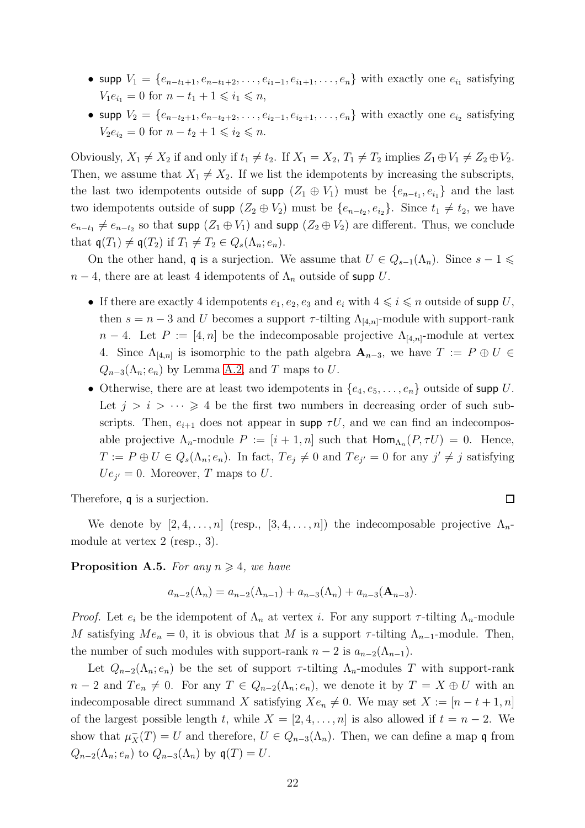- supp  $V_1 = \{e_{n-t_1+1}, e_{n-t_1+2}, \ldots, e_{i_1-1}, e_{i_1+1}, \ldots, e_n\}$  with exactly one  $e_{i_1}$  satisfying  $V_1e_{i_1} = 0$  for  $n - t_1 + 1 \leq i_1 \leq n$ ,
- supp  $V_2 = \{e_{n-t_2+1}, e_{n-t_2+2}, \ldots, e_{i_2-1}, e_{i_2+1}, \ldots, e_n\}$  with exactly one  $e_{i_2}$  satisfying  $V_2e_{i_2} = 0$  for  $n - t_2 + 1 \leq i_2 \leq n$ .

Obviously,  $X_1 \neq X_2$  if and only if  $t_1 \neq t_2$ . If  $X_1 = X_2$ ,  $T_1 \neq T_2$  implies  $Z_1 \oplus V_1 \neq Z_2 \oplus V_2$ . Then, we assume that  $X_1 \neq X_2$ . If we list the idempotents by increasing the subscripts, the last two idempotents outside of supp  $(Z_1 \oplus V_1)$  must be  $\{e_{n-t_1}, e_{i_1}\}\$  and the last two idempotents outside of supp  $(Z_2 \oplus V_2)$  must be  $\{e_{n-t_2}, e_{i_2}\}\$ . Since  $t_1 \neq t_2$ , we have  $e_{n-t_1} \neq e_{n-t_2}$  so that supp  $(Z_1 \oplus V_1)$  and supp  $(Z_2 \oplus V_2)$  are different. Thus, we conclude that  $\mathfrak{q}(T_1) \neq \mathfrak{q}(T_2)$  if  $T_1 \neq T_2 \in Q_s(\Lambda_n; e_n)$ .

On the other hand, q is a surjection. We assume that  $U \in Q_{s-1}(\Lambda_n)$ . Since  $s-1 \leq$  $n-4$ , there are at least 4 idempotents of  $\Lambda_n$  outside of supp U.

- If there are exactly 4 idempotents  $e_1, e_2, e_3$  and  $e_i$  with  $4 \leq i \leq n$  outside of supp U, then  $s = n - 3$  and U becomes a support  $\tau$ -tilting  $\Lambda_{4n}$ -module with support-rank  $n-4$ . Let  $P := [4, n]$  be the indecomposable projective  $\Lambda_{4,n}$ -module at vertex 4. Since  $\Lambda_{[4,n]}$  is isomorphic to the path algebra  $\mathbf{A}_{n-3}$ , we have  $T := P \oplus U \in$  $Q_{n-3}(\Lambda_n; e_n)$  by Lemma [A.2,](#page-18-1) and T maps to U.
- Otherwise, there are at least two idempotents in  $\{e_4, e_5, \ldots, e_n\}$  outside of supp U. Let  $j > i > \cdots \geq 4$  be the first two numbers in decreasing order of such subscripts. Then,  $e_{i+1}$  does not appear in supp  $\tau U$ , and we can find an indecomposable projective  $\Lambda_n$ -module  $P := [i + 1, n]$  such that  $\text{Hom}_{\Lambda_n}(P, \tau U) = 0$ . Hence,  $T := P \oplus U \in Q_s(\Lambda_n; e_n)$ . In fact,  $Te_j \neq 0$  and  $Te_{j'} = 0$  for any  $j' \neq j$  satisfying  $Ue_{j'}=0$ . Moreover, T maps to U.

 $\Box$ 

Therefore, q is a surjection.

We denote by  $[2, 4, \ldots, n]$  (resp.,  $[3, 4, \ldots, n]$ ) the indecomposable projective  $\Lambda_n$ module at vertex 2 (resp., 3).

<span id="page-21-0"></span>**Proposition A.5.** For any  $n \geq 4$ , we have

$$
a_{n-2}(\Lambda_n) = a_{n-2}(\Lambda_{n-1}) + a_{n-3}(\Lambda_n) + a_{n-3}(\mathbf{A}_{n-3}).
$$

*Proof.* Let  $e_i$  be the idempotent of  $\Lambda_n$  at vertex i. For any support  $\tau$ -tilting  $\Lambda_n$ -module M satisfying  $Me_n = 0$ , it is obvious that M is a support  $\tau$ -tilting  $\Lambda_{n-1}$ -module. Then, the number of such modules with support-rank  $n-2$  is  $a_{n-2}(\Lambda_{n-1})$ .

Let  $Q_{n-2}(\Lambda_n; e_n)$  be the set of support  $\tau$ -tilting  $\Lambda_n$ -modules T with support-rank  $n-2$  and  $Te_n \neq 0$ . For any  $T \in Q_{n-2}(\Lambda_n; e_n)$ , we denote it by  $T = X \oplus U$  with an indecomposable direct summand X satisfying  $Xe_n \neq 0$ . We may set  $X := [n - t + 1, n]$ of the largest possible length t, while  $X = [2, 4, \ldots, n]$  is also allowed if  $t = n - 2$ . We show that  $\mu_X^-(T) = U$  and therefore,  $U \in Q_{n-3}(\Lambda_n)$ . Then, we can define a map q from  $Q_{n-2}(\Lambda_n; e_n)$  to  $Q_{n-3}(\Lambda_n)$  by  $\mathfrak{q}(T) = U$ .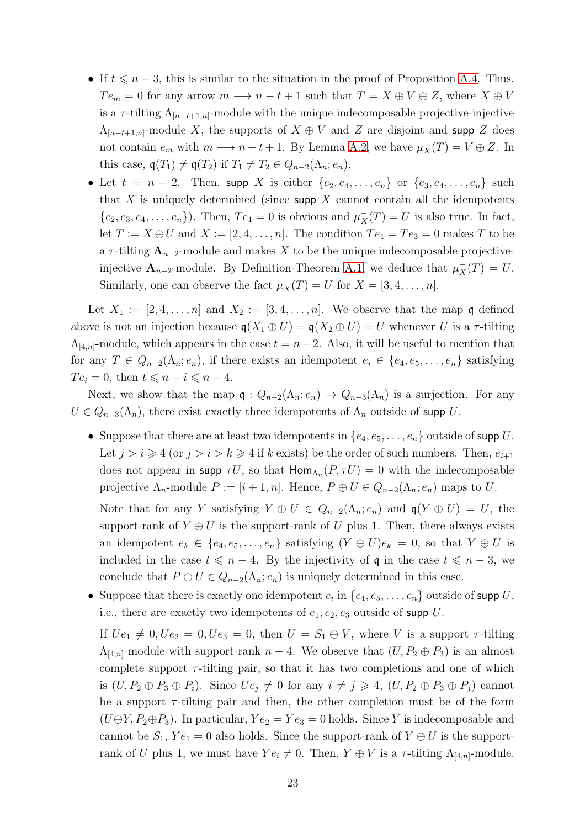- If  $t \leq n-3$ , this is similar to the situation in the proof of Proposition [A.4.](#page-19-0) Thus,  $Te_m = 0$  for any arrow  $m \longrightarrow n - t + 1$  such that  $T = X \oplus V \oplus Z$ , where  $X \oplus V$ is a  $\tau$ -tilting  $\Lambda_{[n-t+1,n]}$ -module with the unique indecomposable projective-injective  $\Lambda_{[n-t+1,n]}$ -module X, the supports of  $X \oplus V$  and Z are disjoint and supp Z does not contain  $e_m$  with  $m \longrightarrow n-t+1$ . By Lemma [A.2,](#page-18-1) we have  $\mu_X^-(T) = V \oplus Z$ . In this case,  $\mathfrak{q}(T_1) \neq \mathfrak{q}(T_2)$  if  $T_1 \neq T_2 \in Q_{n-2}(\Lambda_n; e_n)$ .
- Let  $t = n 2$ . Then, supp X is either  $\{e_2, e_4, \ldots, e_n\}$  or  $\{e_3, e_4, \ldots, e_n\}$  such that X is uniquely determined (since supp  $X$  cannot contain all the idempotents  $\{e_2, e_3, e_4, \ldots, e_n\}$ . Then,  $Te_1 = 0$  is obvious and  $\mu_X^-(T) = U$  is also true. In fact, let  $T := X \oplus U$  and  $X := [2, 4, \ldots, n]$ . The condition  $Te_1 = Te_3 = 0$  makes T to be a  $\tau$ -tilting  $\mathbf{A}_{n-2}$ -module and makes X to be the unique indecomposable projectiveinjective  $\mathbf{A}_{n-2}$ -module. By Definition-Theorem [A.1,](#page-18-0) we deduce that  $\mu_X^-(T) = U$ . Similarly, one can observe the fact  $\mu_X^-(T) = U$  for  $X = [3, 4, \ldots, n]$ .

Let  $X_1 := [2, 4, \ldots, n]$  and  $X_2 := [3, 4, \ldots, n]$ . We observe that the map q defined above is not an injection because  $q(X_1 \oplus U) = q(X_2 \oplus U) = U$  whenever U is a  $\tau$ -tilting  $\Lambda_{[4,n]}$ -module, which appears in the case  $t = n-2$ . Also, it will be useful to mention that for any  $T \in Q_{n-2}(\Lambda_n; e_n)$ , if there exists an idempotent  $e_i \in \{e_4, e_5, \ldots, e_n\}$  satisfying  $Te_i = 0$ , then  $t \leq n - i \leq n - 4$ .

Next, we show that the map  $q: Q_{n-2}(\Lambda_n; e_n) \to Q_{n-3}(\Lambda_n)$  is a surjection. For any  $U \in Q_{n-3}(\Lambda_n)$ , there exist exactly three idempotents of  $\Lambda_n$  outside of supp U.

• Suppose that there are at least two idempotents in  $\{e_4, e_5, \ldots, e_n\}$  outside of supp U. Let  $j > i \geq 4$  (or  $j > i > k \geq 4$  if k exists) be the order of such numbers. Then,  $e_{i+1}$ does not appear in supp  $\tau U$ , so that  $\text{Hom}_{\Lambda_n}(P, \tau U) = 0$  with the indecomposable projective  $\Lambda_n$ -module  $P := [i + 1, n]$ . Hence,  $P \oplus U \in Q_{n-2}(\Lambda_n; e_n)$  maps to U.

Note that for any Y satisfying  $Y \oplus U \in Q_{n-2}(\Lambda_n; e_n)$  and  $\mathfrak{q}(Y \oplus U) = U$ , the support-rank of  $Y \oplus U$  is the support-rank of U plus 1. Then, there always exists an idempotent  $e_k \in \{e_4, e_5, \ldots, e_n\}$  satisfying  $(Y \oplus U)e_k = 0$ , so that  $Y \oplus U$  is included in the case  $t \leq n - 4$ . By the injectivity of q in the case  $t \leq n - 3$ , we conclude that  $P \oplus U \in Q_{n-2}(\Lambda_n; e_n)$  is uniquely determined in this case.

• Suppose that there is exactly one idempotent  $e_i$  in  $\{e_4, e_5, \ldots, e_n\}$  outside of supp U, i.e., there are exactly two idempotents of  $e_1, e_2, e_3$  outside of supp U.

If  $Ue_1 \neq 0, Ue_2 = 0, Ue_3 = 0$ , then  $U = S_1 \oplus V$ , where V is a support  $\tau$ -tilting  $\Lambda_{[4,n]}$ -module with support-rank  $n-4$ . We observe that  $(U, P_2 \oplus P_3)$  is an almost complete support  $\tau$ -tilting pair, so that it has two completions and one of which is  $(U, P_2 \oplus P_3 \oplus P_i)$ . Since  $Ue_i \neq 0$  for any  $i \neq j \geq 4$ ,  $(U, P_2 \oplus P_3 \oplus P_i)$  cannot be a support  $\tau$ -tilting pair and then, the other completion must be of the form  $(U \oplus Y, P_2 \oplus P_3)$ . In particular,  $Y e_2 = Y e_3 = 0$  holds. Since Y is indecomposable and cannot be  $S_1$ ,  $Ye_1 = 0$  also holds. Since the support-rank of  $Y \oplus U$  is the supportrank of U plus 1, we must have  $Ye_i \neq 0$ . Then,  $Y \oplus V$  is a  $\tau$ -tilting  $\Lambda_{[4,n]}$ -module.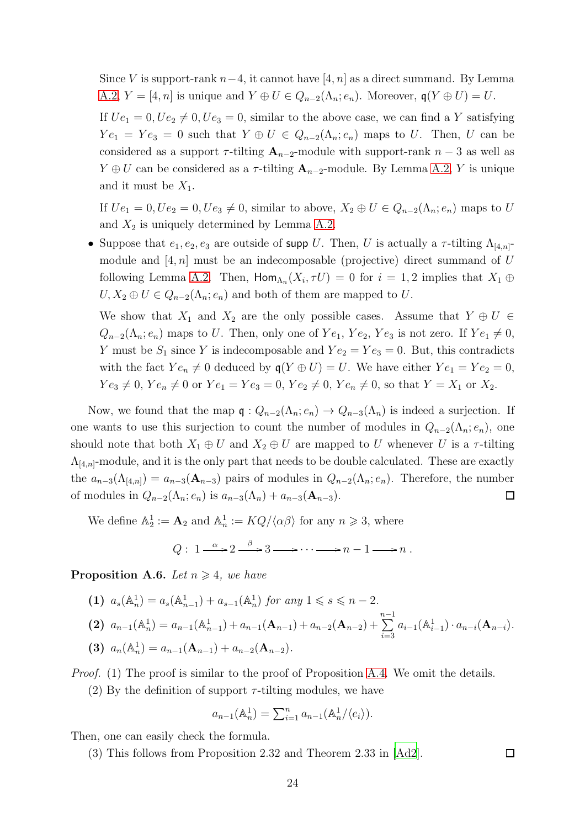Since V is support-rank  $n-4$ , it cannot have [4, n] as a direct summand. By Lemma [A.2,](#page-18-1)  $Y = [4, n]$  is unique and  $Y \oplus U \in Q_{n-2}(\Lambda_n; e_n)$ . Moreover,  $\mathfrak{q}(Y \oplus U) = U$ .

If  $Ue_1 = 0, Ue_2 \neq 0, Ue_3 = 0$ , similar to the above case, we can find a Y satisfying  $Ye_1 = Ye_3 = 0$  such that  $Y \oplus U \in Q_{n-2}(\Lambda_n; e_n)$  maps to U. Then, U can be considered as a support  $\tau$ -tilting  $A_{n-2}$ -module with support-rank  $n-3$  as well as  $Y \oplus U$  can be considered as a  $\tau$ -tilting  $\mathbf{A}_{n-2}$ -module. By Lemma [A.2,](#page-18-1) Y is unique and it must be  $X_1$ .

If  $Ue_1 = 0, Ue_2 = 0, Ue_3 \neq 0$ , similar to above,  $X_2 \oplus U \in Q_{n-2}(\Lambda_n; e_n)$  maps to U and  $X_2$  is uniquely determined by Lemma [A.2.](#page-18-1)

• Suppose that  $e_1, e_2, e_3$  are outside of supp U. Then, U is actually a  $\tau$ -tilting  $\Lambda_{[4,n]}$ module and  $[4, n]$  must be an indecomposable (projective) direct summand of U following Lemma [A.2.](#page-18-1) Then,  $\text{Hom}_{\Lambda_n}(X_i, \tau U) = 0$  for  $i = 1, 2$  implies that  $X_1 \oplus$  $U, X_2 \oplus U \in Q_{n-2}(\Lambda_n; e_n)$  and both of them are mapped to U.

We show that  $X_1$  and  $X_2$  are the only possible cases. Assume that  $Y \oplus U \in$  $Q_{n-2}(\Lambda_n; e_n)$  maps to U. Then, only one of  $Ye_1, Ye_2, Ye_3$  is not zero. If  $Ye_1 \neq 0$ , Y must be  $S_1$  since Y is indecomposable and  $Ye_2 = Ye_3 = 0$ . But, this contradicts with the fact  $Ye_n \neq 0$  deduced by  $q(Y \oplus U) = U$ . We have either  $Ye_1 = Ye_2 = 0$ ,  $Ye_3 \neq 0, Ye_n \neq 0$  or  $Ye_1 = Ye_3 = 0, Ye_2 \neq 0, Ye_n \neq 0$ , so that  $Y = X_1$  or  $X_2$ .

Now, we found that the map  $\mathfrak{q}: Q_{n-2}(\Lambda_n; e_n) \to Q_{n-3}(\Lambda_n)$  is indeed a surjection. If one wants to use this surjection to count the number of modules in  $Q_{n-2}(\Lambda_n; e_n)$ , one should note that both  $X_1 \oplus U$  and  $X_2 \oplus U$  are mapped to U whenever U is a  $\tau$ -tilting  $\Lambda_{4,n}$ -module, and it is the only part that needs to be double calculated. These are exactly the  $a_{n-3}(\Lambda_{[4,n]}) = a_{n-3}(\mathbf{A}_{n-3})$  pairs of modules in  $Q_{n-2}(\Lambda_n; e_n)$ . Therefore, the number of modules in  $Q_{n-2}(\Lambda_n; e_n)$  is  $a_{n-3}(\Lambda_n) + a_{n-3}(\Lambda_{n-3}).$  $\Box$ 

We define  $\mathbb{A}_2^1 := \mathbf{A}_2$  and  $\mathbb{A}_n^1 := KQ/\langle \alpha \beta \rangle$  for any  $n \geq 3$ , where

$$
Q: 1 \xrightarrow{\alpha} 2 \xrightarrow{\beta} 3 \longrightarrow \cdots \longrightarrow n-1 \longrightarrow n.
$$

<span id="page-23-0"></span>**Proposition A.6.** Let  $n \geq 4$ , we have

\n- (1) 
$$
a_s(\mathbb{A}_n^1) = a_s(\mathbb{A}_{n-1}^1) + a_{s-1}(\mathbb{A}_n^1)
$$
 for any  $1 \leq s \leq n-2$ .
\n- (2)  $a_{n-1}(\mathbb{A}_n^1) = a_{n-1}(\mathbb{A}_{n-1}^1) + a_{n-1}(\mathbf{A}_{n-1}) + a_{n-2}(\mathbf{A}_{n-2}) + \sum_{i=3}^{n-1} a_{i-1}(\mathbb{A}_{i-1}^1) \cdot a_{n-i}(\mathbf{A}_{n-i})$ .
\n- (3)  $a_n(\mathbb{A}_n^1) = a_{n-1}(\mathbf{A}_{n-1}) + a_{n-2}(\mathbf{A}_{n-2})$ .
\n

*Proof.* (1) The proof is similar to the proof of Proposition [A.4.](#page-19-0) We omit the details.

(2) By the definition of support  $\tau$ -tilting modules, we have

$$
a_{n-1}(\mathbb{A}_n^1) = \sum_{i=1}^n a_{n-1}(\mathbb{A}_n^1/\langle e_i \rangle).
$$

Then, one can easily check the formula.

(3) This follows from Proposition 2.32 and Theorem 2.33 in [\[Ad2\]](#page-27-11).

 $\Box$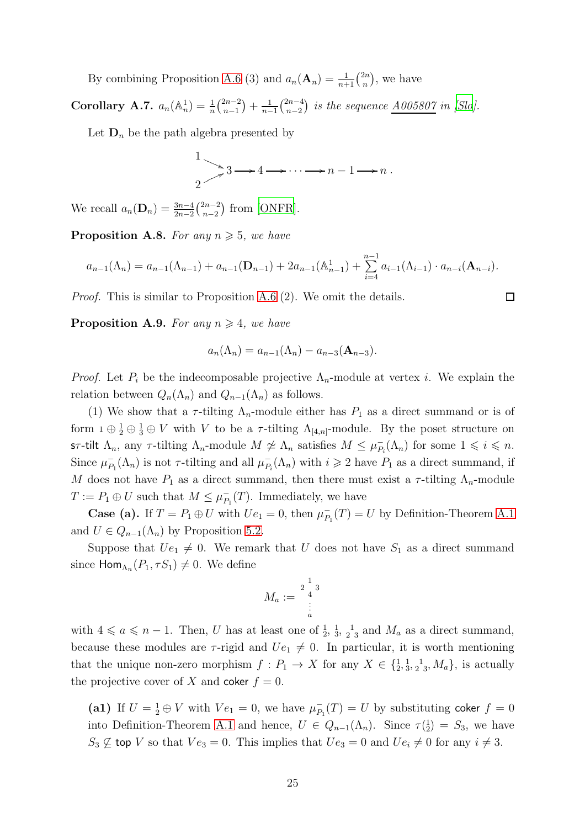By combining Proposition [A.6](#page-23-0) (3) and  $a_n(\mathbf{A}_n) = \frac{1}{n+1} \binom{2n}{n}$  $\binom{2n}{n}$ , we have

Corollary A.7.  $a_n(\mathbb{A}_n^1) = \frac{1}{n} {2n-2 \choose n-1}$  $\binom{2n-2}{n-1} + \frac{1}{n-1}$  $rac{1}{n-1} \binom{2n-4}{n-2}$  $\binom{2n-4}{n-2}$  *is the sequence*  $\underline{A005807}$  *in [\[Slo\]](#page-29-13).* 

Let  $\mathbf{D}_n$  be the path algebra presented by

$$
\frac{1}{2} \rightarrow 3 \rightarrow 4 \rightarrow \cdots \rightarrow n-1 \rightarrow n.
$$

We recall  $a_n(\mathbf{D}_n) = \frac{3n-4}{2n-2} \binom{2n-2}{n-2}$  $_{n-2}^{2n-2}$  from [\[ONFR\]](#page-29-12).

**Proposition A.8.** For any  $n \geq 5$ , we have

$$
a_{n-1}(\Lambda_n) = a_{n-1}(\Lambda_{n-1}) + a_{n-1}(\mathbf{D}_{n-1}) + 2a_{n-1}(\mathbb{A}_{n-1}^1) + \sum_{i=4}^{n-1} a_{i-1}(\Lambda_{i-1}) \cdot a_{n-i}(\mathbf{A}_{n-i}).
$$

*Proof.* This is similar to Proposition [A.6](#page-23-0) (2). We omit the details.

**Proposition A.9.** *For any*  $n \geq 4$ *, we have* 

$$
a_n(\Lambda_n) = a_{n-1}(\Lambda_n) - a_{n-3}(\mathbf{A}_{n-3}).
$$

*Proof.* Let  $P_i$  be the indecomposable projective  $\Lambda_n$ -module at vertex i. We explain the relation between  $Q_n(\Lambda_n)$  and  $Q_{n-1}(\Lambda_n)$  as follows.

(1) We show that a  $\tau$ -tilting  $\Lambda_n$ -module either has  $P_1$  as a direct summand or is of form  $1 \oplus \frac{1}{2} \oplus \frac{1}{3} \oplus V$  with V to be a  $\tau$ -tilting  $\Lambda_{[4,n]}$ -module. By the poset structure on sτ-tilt  $\Lambda_n$ , any τ-tilting  $\Lambda_n$ -module  $M \ncong \Lambda_n$  satisfies  $M \leq \mu_P^+$  $P_i(\Lambda_n)$  for some  $1 \leq i \leq n$ . Since  $\mu_P^ P_1(\Lambda_n)$  is not  $\tau$ -tilting and all  $\mu_{P_3}^ _{P_i}^-(\Lambda_n)$  with  $i \geq 2$  have  $P_1$  as a direct summand, if M does not have  $P_1$  as a direct summand, then there must exist a  $\tau$ -tilting  $\Lambda_n$ -module  $T := P_1 \oplus U$  such that  $M \leq \mu_P^{-1}$  $P_1(T)$ . Immediately, we have

**Case (a).** If  $T = P_1 \oplus U$  with  $Ue_1 = 0$ , then  $\mu_P^ P_1(T) = U$  by Definition-Theorem [A.1](#page-18-0) and  $U \in Q_{n-1}(\Lambda_n)$  by Proposition [5.2.](#page-17-0)

Suppose that  $Ue_1 \neq 0$ . We remark that U does not have  $S_1$  as a direct summand since  $\textsf{Hom}_{\Lambda_n}(P_1, \tau S_1) \neq 0$ . We define

$$
M_a:=\begin{smallmatrix}&1\\2&&3\\&4\\1&&1\\&3\\&a\end{smallmatrix}
$$

with  $4 \leq a \leq n-1$ . Then, U has at least one of  $\frac{1}{2}$ ,  $\frac{1}{3}$ ,  $\frac{1}{2}$  and  $M_a$  as a direct summand, because these modules are  $\tau$ -rigid and  $Ue_1 \neq 0$ . In particular, it is worth mentioning that the unique non-zero morphism f : P<sup>1</sup> → X for any X ∈ {<sup>1</sup> 2 , 1 3 , 2 1 3 , Ma}, is actually the projective cover of X and coker  $f = 0$ .

(a1) If  $U = \frac{1}{2} \oplus V$  with  $Ve_1 = 0$ , we have  $\mu_P^ P_1(T) = U$  by substituting coker  $f = 0$ into Definition-Theorem [A.1](#page-18-0) and hence,  $U \in Q_{n-1}(\Lambda_n)$ . Since  $\tau(\frac{1}{2}) = S_3$ , we have  $S_3 \not\subseteq$  top V so that  $Ve_3 = 0$ . This implies that  $Ue_3 = 0$  and  $Ue_i \neq 0$  for any  $i \neq 3$ .

 $\Box$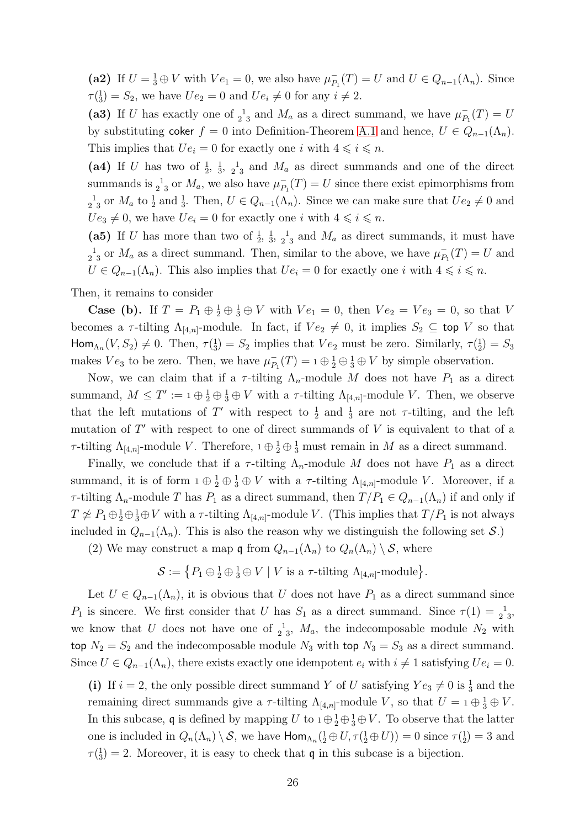(a2) If  $U = \frac{1}{3} \oplus V$  with  $Ve_1 = 0$ , we also have  $\mu_P^ P_1(T) = U$  and  $U \in Q_{n-1}(\Lambda_n)$ . Since  $\tau(\frac{1}{3}) = S_2$ , we have  $Ue_2 = 0$  and  $Ue_i \neq 0$  for any  $i \neq 2$ .

(a3) If U has exactly one of  $_2^1$  and  $M_a$  as a direct summand, we have  $\mu_P^ P_1(T) = U$ by substituting coker  $f = 0$  into Definition-Theorem [A.1](#page-18-0) and hence,  $U \in Q_{n-1}(\Lambda_n)$ . This implies that  $Ue_i = 0$  for exactly one i with  $4 \leq i \leq n$ .

(a4) If U has two of  $\frac{1}{2}$ ,  $\frac{1}{3}$ ,  $\frac{1}{2}$  and  $M_a$  as direct summands and one of the direct summands is  $\frac{1}{2}$  or  $M_a$ , we also have  $\mu_P^ P_{P_1}(T) = U$  since there exist epimorphisms from  $2^{\frac{1}{2}}$  or  $M_a$  to  $\frac{1}{2}$  and  $\frac{1}{3}$ . Then,  $U \in Q_{n-1}(\Lambda_n)$ . Since we can make sure that  $Ue_2 \neq 0$  and  $Ue_3 \neq 0$ , we have  $Ue_i = 0$  for exactly one i with  $4 \leq i \leq n$ .

(a5) If U has more than two of  $\frac{1}{2}$ ,  $\frac{1}{3}$ ,  $\frac{1}{2}$  and  $M_a$  as direct summands, it must have  $\frac{1}{2}$ <sup>1</sup><sub>3</sub> or  $M_a$  as a direct summand. Then, similar to the above, we have  $\mu_P^ P_1(T) = U$  and  $U \in Q_{n-1}(\Lambda_n)$ . This also implies that  $Ue_i = 0$  for exactly one i with  $4 \leq i \leq n$ .

Then, it remains to consider

**Case (b).** If  $T = P_1 \oplus \frac{1}{2} \oplus \frac{1}{3} \oplus V$  with  $Ve_1 = 0$ , then  $Ve_2 = Ve_3 = 0$ , so that V becomes a  $\tau$ -tilting  $\Lambda_{[4,n]}$ -module. In fact, if  $Ve_2 \neq 0$ , it implies  $S_2 \subseteq$  top V so that Hom<sub> $\Lambda_n$ </sub> $(V, S_2) \neq 0$ . Then,  $\tau({}_{3}^1) = S_2$  implies that  $Ve_2$  must be zero. Similarly,  $\tau({}_{2}^1) = S_3$ makes  $Ve_3$  to be zero. Then, we have  $\mu_P^ P_1(T) = 1 \oplus \frac{1}{2} \oplus \frac{1}{3} \oplus V$  by simple observation.

Now, we can claim that if a  $\tau$ -tilting  $\Lambda_n$ -module M does not have  $P_1$  as a direct summand,  $M \leq T' := 1 \oplus \frac{1}{2} \oplus \frac{1}{3} \oplus V$  with a  $\tau$ -tilting  $\Lambda_{[4,n]}$ -module V. Then, we observe that the left mutations of T' with respect to  $\frac{1}{2}$  and  $\frac{1}{3}$  are not  $\tau$ -tilting, and the left mutation of  $T'$  with respect to one of direct summands of  $V$  is equivalent to that of a  $\tau$ -tilting  $\Lambda_{[4,n]}$ -module V. Therefore,  $1 \oplus \frac{1}{2} \oplus \frac{1}{3}$  must remain in M as a direct summand.

Finally, we conclude that if a  $\tau$ -tilting  $\Lambda_n$ -module M does not have  $P_1$  as a direct summand, it is of form  $1 \oplus \frac{1}{2} \oplus \frac{1}{3} \oplus V$  with a  $\tau$ -tilting  $\Lambda_{[4,n]}$ -module V. Moreover, if a  $τ$ -tilting  $Λ_n$ -module T has  $P_1$  as a direct summand, then  $T/P_1 ∈ Q_{n-1}(Λ_n)$  if and only if  $T \not\simeq P_1 \oplus \frac{1}{2} \oplus \frac{1}{3} \oplus V$  with a  $\tau$ -tilting  $\Lambda_{[4,n]}$ -module V. (This implies that  $T/P_1$  is not always included in  $Q_{n-1}(\Lambda_n)$ . This is also the reason why we distinguish the following set  $\mathcal{S}$ .)

(2) We may construct a map q from  $Q_{n-1}(\Lambda_n)$  to  $Q_n(\Lambda_n) \setminus \mathcal{S}$ , where

 $\mathcal{S} := \{P_1 \oplus \frac{1}{2} \oplus \frac{1}{3} \oplus V \mid V \text{ is a } \tau\text{-tilting } \Lambda_{[4,n]}\text{-module}\}.$ 

Let  $U \in Q_{n-1}(\Lambda_n)$ , it is obvious that U does not have  $P_1$  as a direct summand since  $P_1$  is sincere. We first consider that U has  $S_1$  as a direct summand. Since  $\tau(1) = \frac{1}{2}$ , we know that U does not have one of  $_2^1$ ,  $M_a$ , the indecomposable module  $N_2$  with top  $N_2 = S_2$  and the indecomposable module  $N_3$  with top  $N_3 = S_3$  as a direct summand. Since  $U \in Q_{n-1}(\Lambda_n)$ , there exists exactly one idempotent  $e_i$  with  $i \neq 1$  satisfying  $Ue_i = 0$ .

(i) If  $i = 2$ , the only possible direct summand Y of U satisfying  $Ye_3 \neq 0$  is  $\frac{1}{3}$  and the remaining direct summands give a  $\tau$ -tilting  $\Lambda_{[4,n]}$ -module V, so that  $U = 1 \oplus \frac{1}{3} \oplus V$ . In this subcase, q is defined by mapping U to  $1 \oplus \frac{1}{2} \oplus \frac{1}{3} \oplus V$ . To observe that the latter one is included in  $Q_n(\Lambda_n) \setminus \mathcal{S}$ , we have  $\text{Hom}_{\Lambda_n}(\frac{1}{2} \oplus U, \tau(\frac{1}{2} \oplus U)) = 0$  since  $\tau(\frac{1}{2}) = 3$  and  $\tau(\frac{1}{3}) = 2$ . Moreover, it is easy to check that **q** in this subcase is a bijection.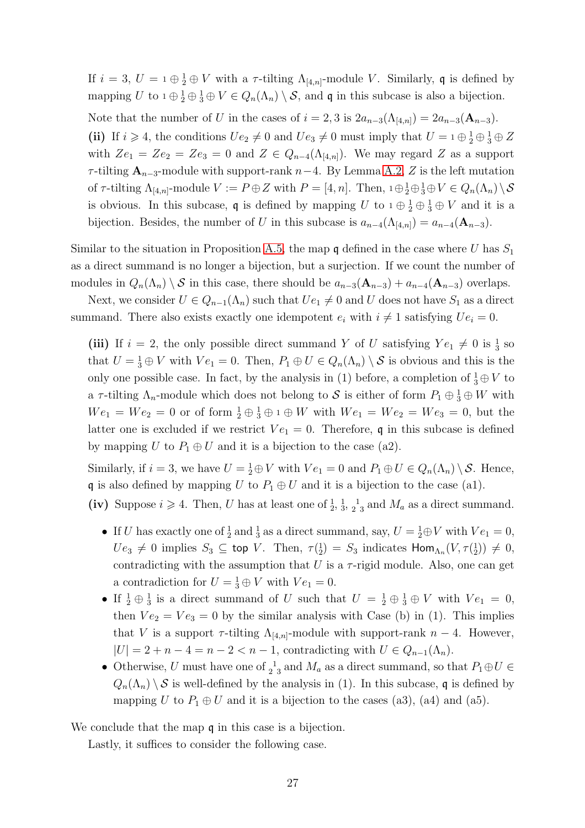If  $i = 3, U = 1 \oplus \frac{1}{2} \oplus V$  with a  $\tau$ -tilting  $\Lambda_{[4,n]}$ -module V. Similarly, q is defined by mapping U to  $1 \oplus \frac{1}{2} \oplus \frac{1}{3} \oplus V \in Q_n(\Lambda_n) \setminus \mathcal{S}$ , and q in this subcase is also a bijection.

Note that the number of U in the cases of  $i = 2, 3$  is  $2a_{n-3}(\Lambda_{[4,n]}) = 2a_{n-3}(\mathbf{A}_{n-3})$ .

(ii) If  $i \ge 4$ , the conditions  $Ue_2 \neq 0$  and  $Ue_3 \neq 0$  must imply that  $U = 1 \oplus \frac{1}{2} \oplus \frac{1}{3} \oplus Z$ with  $Ze_1 = Ze_2 = Ze_3 = 0$  and  $Z \in Q_{n-4}(\Lambda_{4,n})$ . We may regard Z as a support  $\tau$ -tilting  $\mathbf{A}_{n-3}$ -module with support-rank  $n-4$ . By Lemma [A.2,](#page-18-1) Z is the left mutation of  $\tau$ -tilting  $\Lambda_{[4,n]}$ -module  $V := P \oplus Z$  with  $P = [4, n]$ . Then,  $1 \oplus \frac{1}{2} \oplus \frac{1}{3} \oplus V \in Q_n(\Lambda_n) \setminus \mathcal{S}$ is obvious. In this subcase,  $\mathfrak q$  is defined by mapping U to  $1 \oplus \frac{1}{2} \oplus \frac{1}{3} \oplus V$  and it is a bijection. Besides, the number of U in this subcase is  $a_{n-4}(\Lambda_{[4,n]}) = a_{n-4}(\mathbf{A}_{n-3})$ .

Similar to the situation in Proposition [A.5,](#page-21-0) the map  $\mathfrak q$  defined in the case where U has  $S_1$ as a direct summand is no longer a bijection, but a surjection. If we count the number of modules in  $Q_n(\Lambda_n) \setminus \mathcal{S}$  in this case, there should be  $a_{n-3}(\mathbf{A}_{n-3}) + a_{n-4}(\mathbf{A}_{n-3})$  overlaps.

Next, we consider  $U \in Q_{n-1}(\Lambda_n)$  such that  $Ue_1 \neq 0$  and U does not have  $S_1$  as a direct summand. There also exists exactly one idempotent  $e_i$  with  $i \neq 1$  satisfying  $Ue_i = 0$ .

(iii) If  $i = 2$ , the only possible direct summand Y of U satisfying  $Ye_1 \neq 0$  is  $\frac{1}{3}$  so that  $U = \frac{1}{3} \oplus V$  with  $Ve_1 = 0$ . Then,  $P_1 \oplus U \in Q_n(\Lambda_n) \setminus S$  is obvious and this is the only one possible case. In fact, by the analysis in (1) before, a completion of  $\frac{1}{3} \oplus V$  to a  $\tau$ -tilting  $\Lambda_n$ -module which does not belong to S is either of form  $P_1 \oplus \frac{1}{3} \oplus W$  with  $We_1 = We_2 = 0$  or of form  $\frac{1}{2} \oplus \frac{1}{3} \oplus 1 \oplus W$  with  $We_1 = We_2 = We_3 = 0$ , but the latter one is excluded if we restrict  $Ve_1 = 0$ . Therefore, q in this subcase is defined by mapping U to  $P_1 \oplus U$  and it is a bijection to the case (a2).

Similarly, if  $i = 3$ , we have  $U = \frac{1}{2} \oplus V$  with  $Ve_1 = 0$  and  $P_1 \oplus U \in Q_n(\Lambda_n) \setminus \mathcal{S}$ . Hence, q is also defined by mapping U to  $P_1 \oplus U$  and it is a bijection to the case (a1).

- (iv) Suppose  $i \ge 4$ . Then, U has at least one of  $\frac{1}{2}$ ,  $\frac{1}{3}$ ,  $\frac{1}{2}$  and  $M_a$  as a direct summand.
	- If U has exactly one of  $\frac{1}{2}$  and  $\frac{1}{3}$  as a direct summand, say,  $U = \frac{1}{2} \oplus V$  with  $Ve_1 = 0$ ,  $Ue_3 \neq 0$  implies  $S_3 \subseteq$  top V. Then,  $\tau(\frac{1}{2}) = S_3$  indicates  $\text{Hom}_{\Lambda_n}(V, \tau(\frac{1}{2})) \neq 0$ , contradicting with the assumption that  $U$  is a  $\tau$ -rigid module. Also, one can get a contradiction for  $U = \frac{1}{3} \oplus V$  with  $Ve_1 = 0$ .
	- If  $\frac{1}{2} \oplus \frac{1}{3}$  is a direct summand of U such that  $U = \frac{1}{2} \oplus \frac{1}{3} \oplus V$  with  $Ve_1 = 0$ , then  $Ve_2 = Ve_3 = 0$  by the similar analysis with Case (b) in (1). This implies that V is a support  $\tau$ -tilting  $\Lambda_{[4,n]}$ -module with support-rank  $n-4$ . However,  $|U| = 2 + n - 4 = n - 2 < n - 1$ , contradicting with  $U \in Q_{n-1}(\Lambda_n)$ .
	- Otherwise, U must have one of  $_2^1$  and  $M_a$  as a direct summand, so that  $P_1 \oplus U \in$  $Q_n(\Lambda_n) \setminus \mathcal{S}$  is well-defined by the analysis in (1). In this subcase, q is defined by mapping U to  $P_1 \oplus U$  and it is a bijection to the cases (a3), (a4) and (a5).

We conclude that the map  $\mathfrak q$  in this case is a bijection.

Lastly, it suffices to consider the following case.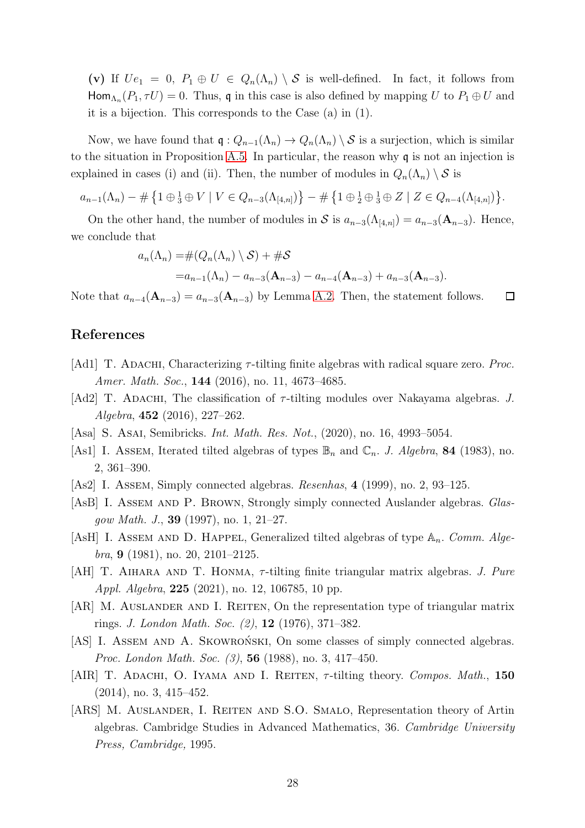(v) If  $Ue_1 = 0$ ,  $P_1 \oplus U \in Q_n(\Lambda_n) \setminus S$  is well-defined. In fact, it follows from  $\text{Hom}_{\Lambda_n}(P_1, \tau U) = 0$ . Thus, q in this case is also defined by mapping U to  $P_1 \oplus U$  and it is a bijection. This corresponds to the Case (a) in (1).

Now, we have found that  $\mathfrak{q}: Q_{n-1}(\Lambda_n) \to Q_n(\Lambda_n) \setminus \mathcal{S}$  is a surjection, which is similar to the situation in Proposition [A.5.](#page-21-0) In particular, the reason why q is not an injection is explained in cases (i) and (ii). Then, the number of modules in  $Q_n(\Lambda_n) \setminus \mathcal{S}$  is

$$
a_{n-1}(\Lambda_n) - \# \{ 1 \oplus \frac{1}{3} \oplus V \mid V \in Q_{n-3}(\Lambda_{[4,n]}) \} - \# \{ 1 \oplus \frac{1}{2} \oplus \frac{1}{3} \oplus Z \mid Z \in Q_{n-4}(\Lambda_{[4,n]}) \}.
$$

On the other hand, the number of modules in S is  $a_{n-3}(\Lambda_{[4,n]}) = a_{n-3}(\mathbf{A}_{n-3})$ . Hence, we conclude that

$$
a_n(\Lambda_n) = \#(Q_n(\Lambda_n) \setminus \mathcal{S}) + \# \mathcal{S}
$$
  
=  $a_{n-1}(\Lambda_n) - a_{n-3}(\mathbf{A}_{n-3}) - a_{n-4}(\mathbf{A}_{n-3}) + a_{n-3}(\mathbf{A}_{n-3}).$ 

Note that  $a_{n-4}(\mathbf{A}_{n-3}) = a_{n-3}(\mathbf{A}_{n-3})$  by Lemma [A.2.](#page-18-1) Then, the statement follows.  $\Box$ 

## References

- <span id="page-27-2"></span>[Ad1] T. ADACHI, Characterizing  $\tau$ -tilting finite algebras with radical square zero. *Proc. Amer. Math. Soc.*, 144 (2016), no. 11, 4673–4685.
- <span id="page-27-11"></span>[Ad2] T. ADACHI, The classification of  $\tau$ -tilting modules over Nakayama algebras. *J. Algebra*, 452 (2016), 227–262.
- <span id="page-27-1"></span>[Asa] S. Asai, Semibricks. *Int. Math. Res. Not.*, (2020), no. 16, 4993–5054.
- <span id="page-27-10"></span>[As1] I. Assem, Iterated tilted algebras of types  $\mathbb{B}_n$  and  $\mathbb{C}_n$ . *J. Algebra*, **84** (1983), no. 2, 361–390.
- <span id="page-27-4"></span>[As2] I. Assem, Simply connected algebras. *Resenhas*, 4 (1999), no. 2, 93–125.
- <span id="page-27-6"></span>[AsB] I. Assem and P. Brown, Strongly simply connected Auslander algebras. *Glasgow Math. J.*, 39 (1997), no. 1, 21–27.
- <span id="page-27-9"></span>[AsH] I. ASSEM AND D. HAPPEL, Generalized tilted algebras of type  $\mathbb{A}_n$ . *Comm. Algebra*, 9 (1981), no. 20, 2101–2125.
- <span id="page-27-5"></span>[AH] T. Aihara and T. Honma, τ -tilting finite triangular matrix algebras. *J. Pure Appl. Algebra*, 225 (2021), no. 12, 106785, 10 pp.
- <span id="page-27-7"></span>[AR] M. AUSLANDER AND I. REITEN, On the representation type of triangular matrix rings. *J. London Math. Soc. (2)*, 12 (1976), 371–382.
- <span id="page-27-3"></span>[AS] I. ASSEM AND A. SKOWRONSKI, On some classes of simply connected algebras. *Proc. London Math. Soc. (3)*, 56 (1988), no. 3, 417–450.
- <span id="page-27-0"></span>[AIR] T. ADACHI, O. IYAMA AND I. REITEN,  $\tau$ -tilting theory. *Compos. Math.*, 150 (2014), no. 3, 415–452.
- <span id="page-27-8"></span>[ARS] M. AUSLANDER, I. REITEN AND S.O. SMALO, Representation theory of Artin algebras. Cambridge Studies in Advanced Mathematics, 36. *Cambridge University Press, Cambridge,* 1995.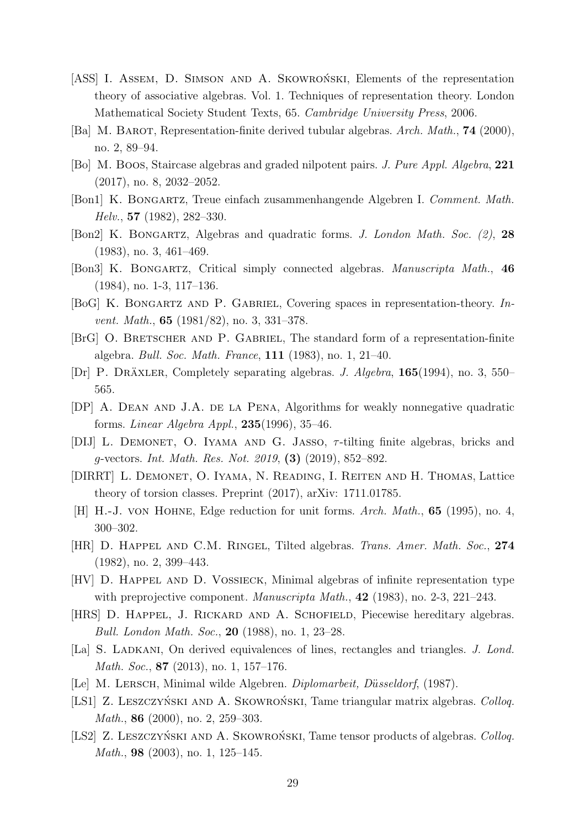- <span id="page-28-3"></span>[ASS] I. ASSEM, D. SIMSON AND A. SKOWRONSKI, Elements of the representation theory of associative algebras. Vol. 1. Techniques of representation theory. London Mathematical Society Student Texts, 65. *Cambridge University Press*, 2006.
- <span id="page-28-13"></span>[Ba] M. BAROT, Representation-finite derived tubular algebras. *Arch. Math.*, **74** (2000), no. 2, 89–94.
- <span id="page-28-15"></span>[Bo] M. Boos, Staircase algebras and graded nilpotent pairs. *J. Pure Appl. Algebra*, 221 (2017), no. 8, 2032–2052.
- <span id="page-28-9"></span>[Bon1] K. Bongartz, Treue einfach zusammenhangende Algebren I. *Comment. Math. Helv.*, 57 (1982), 282–330.
- <span id="page-28-7"></span>[Bon2] K. Bongartz, Algebras and quadratic forms. *J. London Math. Soc. (2)*, 28 (1983), no. 3, 461–469.
- <span id="page-28-5"></span>[Bon3] K. Bongartz, Critical simply connected algebras. *Manuscripta Math.*, 46 (1984), no. 1-3, 117–136.
- <span id="page-28-1"></span>[BoG] K. Bongartz and P. Gabriel, Covering spaces in representation-theory. *Invent. Math.*, 65 (1981/82), no. 3, 331–378.
- [BrG] O. BRETSCHER AND P. GABRIEL, The standard form of a representation-finite algebra. *Bull. Soc. Math. France*, 111 (1983), no. 1, 21–40.
- <span id="page-28-2"></span>[Dr] P. DRÄXLER, Completely separating algebras. *J. Algebra*, **165**(1994), no. 3, 550– 565.
- <span id="page-28-16"></span>[DP] A. Dean and J.A. de la Pena, Algorithms for weakly nonnegative quadratic forms. *Linear Algebra Appl.*, 235(1996), 35–46.
- <span id="page-28-0"></span>[DIJ] L. DEMONET, O. IYAMA AND G. JASSO,  $\tau$ -tilting finite algebras, bricks and g-vectors. *Int. Math. Res. Not. 2019*, (3) (2019), 852–892.
- <span id="page-28-8"></span>[DIRRT] L. Demonet, O. Iyama, N. Reading, I. Reiten and H. Thomas, Lattice theory of torsion classes. Preprint (2017), arXiv: 1711.01785.
- <span id="page-28-17"></span>[H] H.-J. von Hohne, Edge reduction for unit forms. *Arch. Math.*, 65 (1995), no. 4, 300–302.
- <span id="page-28-4"></span>[HR] D. Happel and C.M. Ringel, Tilted algebras. *Trans. Amer. Math. Soc.*, 274 (1982), no. 2, 399–443.
- <span id="page-28-6"></span>[HV] D. Happel and D. Vossieck, Minimal algebras of infinite representation type with preprojective component. *Manuscripta Math.*, 42 (1983), no. 2-3, 221–243.
- <span id="page-28-12"></span>[HRS] D. HAPPEL, J. RICKARD AND A. SCHOFIELD, Piecewise hereditary algebras. *Bull. London Math. Soc.*, 20 (1988), no. 1, 23–28.
- <span id="page-28-18"></span>[La] S. LADKANI, On derived equivalences of lines, rectangles and triangles. *J. Lond. Math. Soc.*, 87 (2013), no. 1, 157–176.
- <span id="page-28-14"></span>[Le] M. Lersch, Minimal wilde Algebren. *Diplomarbeit, D*u¨*sseldorf*, (1987).
- <span id="page-28-10"></span>[LS1] Z. LESZCZYŃSKI AND A. SKOWROŃSKI, Tame triangular matrix algebras. *Colloq. Math.*, **86** (2000), no. 2, 259–303.
- <span id="page-28-11"></span>[LS2] Z. LESZCZYŃSKI AND A. SKOWROŃSKI, Tame tensor products of algebras. *Colloq. Math.*, **98** (2003), no. 1, 125–145.